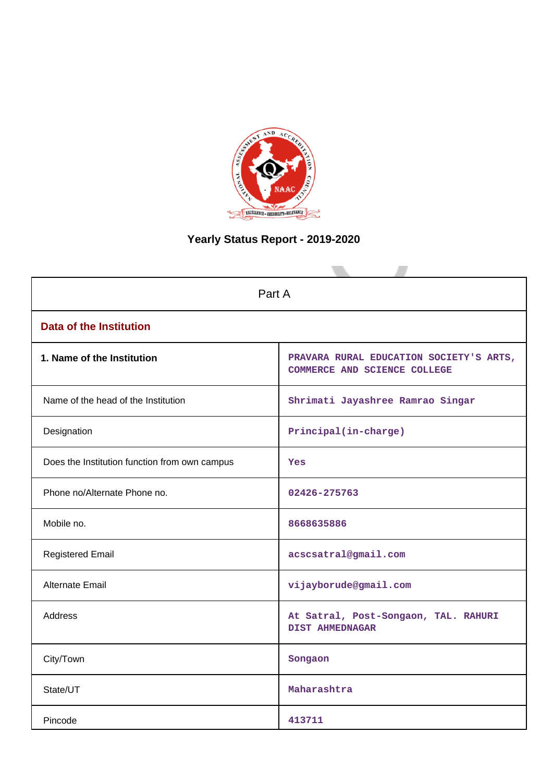

# **Yearly Status Report - 2019-2020**

| Part A                                        |                                                                         |  |  |  |  |
|-----------------------------------------------|-------------------------------------------------------------------------|--|--|--|--|
| <b>Data of the Institution</b>                |                                                                         |  |  |  |  |
| 1. Name of the Institution                    | PRAVARA RURAL EDUCATION SOCIETY'S ARTS,<br>COMMERCE AND SCIENCE COLLEGE |  |  |  |  |
| Name of the head of the Institution           | Shrimati Jayashree Ramrao Singar                                        |  |  |  |  |
| Designation                                   | Principal(in-charge)                                                    |  |  |  |  |
| Does the Institution function from own campus | <b>Yes</b>                                                              |  |  |  |  |
| Phone no/Alternate Phone no.                  | 02426-275763                                                            |  |  |  |  |
| Mobile no.                                    | 8668635886                                                              |  |  |  |  |
| <b>Registered Email</b>                       | acscsatral@gmail.com                                                    |  |  |  |  |
| <b>Alternate Email</b>                        | vijayborude@gmail.com                                                   |  |  |  |  |
| <b>Address</b>                                | At Satral, Post-Songaon, TAL. RAHURI<br><b>DIST AHMEDNAGAR</b>          |  |  |  |  |
| City/Town                                     | Songaon                                                                 |  |  |  |  |
| State/UT                                      | Maharashtra                                                             |  |  |  |  |
| Pincode                                       | 413711                                                                  |  |  |  |  |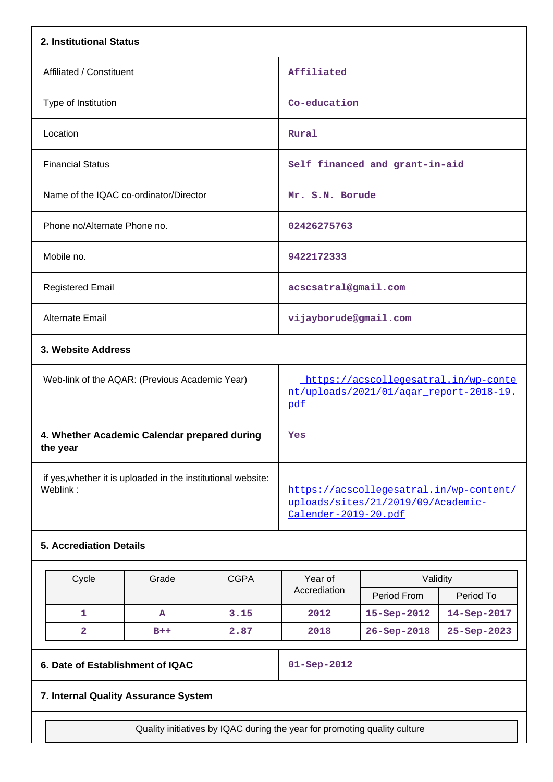| 2. Institutional Status                                                  |                                                                                                       |
|--------------------------------------------------------------------------|-------------------------------------------------------------------------------------------------------|
| Affiliated / Constituent                                                 | Affiliated                                                                                            |
| Type of Institution                                                      | Co-education                                                                                          |
| Location                                                                 | Rural                                                                                                 |
| <b>Financial Status</b>                                                  | Self financed and grant-in-aid                                                                        |
| Name of the IQAC co-ordinator/Director                                   | Mr. S.N. Borude                                                                                       |
| Phone no/Alternate Phone no.                                             | 02426275763                                                                                           |
| Mobile no.                                                               | 9422172333                                                                                            |
| <b>Registered Email</b>                                                  | acscsatral@gmail.com                                                                                  |
| Alternate Email                                                          | vijayborude@gmail.com                                                                                 |
| 3. Website Address                                                       |                                                                                                       |
| Web-link of the AQAR: (Previous Academic Year)                           | https://acscollegesatral.in/wp-conte<br>nt/uploads/2021/01/agar_report-2018-19.<br>pdf                |
| 4. Whether Academic Calendar prepared during<br>the year                 | Yes                                                                                                   |
| if yes, whether it is uploaded in the institutional website:<br>Weblink: | https://acscollegesatral.in/wp-content/<br>uploads/sites/21/2019/09/Academic-<br>Calender-2019-20.pdf |
| <b>5. Accrediation Details</b>                                           |                                                                                                       |

| Cycle | Grade | <b>CGPA</b> | Validity<br>Year of |                    |                    |
|-------|-------|-------------|---------------------|--------------------|--------------------|
|       |       |             | Accrediation        | Period From        | Period To          |
|       | А     | 3.15        | 2012                | $15 -$ Sep $-2012$ | $14 -$ Sep $-2017$ |
|       | $B++$ | 2.87        | 2018                | $26 - Sep - 2018$  | $25 -$ Sep $-2023$ |

**6. Date of Establishment of IQAC 01-Sep-2012**

# **7. Internal Quality Assurance System**

Quality initiatives by IQAC during the year for promoting quality culture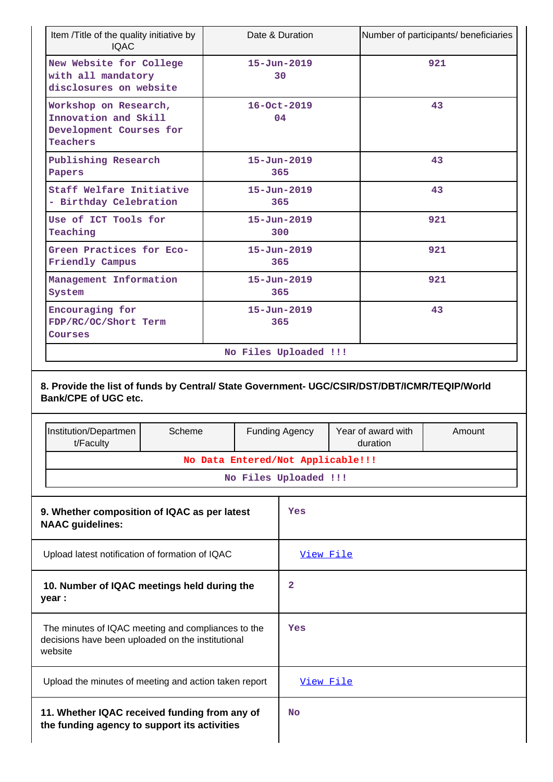| Item /Title of the quality initiative by<br><b>IQAC</b>                                     | Date & Duration          | Number of participants/ beneficiaries |
|---------------------------------------------------------------------------------------------|--------------------------|---------------------------------------|
| New Website for College<br>with all mandatory<br>disclosures on website                     | $15 - Jun - 2019$<br>30  | 921                                   |
| Workshop on Research,<br>Innovation and Skill<br>Development Courses for<br><b>Teachers</b> | $16 - Oct - 2019$<br>04  | 43                                    |
| Publishing Research<br>Papers                                                               | $15 - Jun - 2019$<br>365 | 43                                    |
| Staff Welfare Initiative<br>- Birthday Celebration                                          | $15 - Jun - 2019$<br>365 | 43                                    |
| Use of ICT Tools for<br>Teaching                                                            | $15 - Jun - 2019$<br>300 | 921                                   |
| Green Practices for Eco-<br>Friendly Campus                                                 | $15 - Jun - 2019$<br>365 | 921                                   |
| Management Information<br>System                                                            | $15 - Jun - 2019$<br>365 | 921                                   |
| Encouraging for<br>FDP/RC/OC/Short Term<br>Courses                                          | $15 - Jun - 2019$<br>365 | 43                                    |
|                                                                                             | No Files Uploaded !!!    |                                       |

|                                                                                                                    | Institution/Departmen<br>t/Faculty                                                            | Scheme                                       |                | <b>Funding Agency</b><br>Year of award with<br>duration |  | Amount |  |  |
|--------------------------------------------------------------------------------------------------------------------|-----------------------------------------------------------------------------------------------|----------------------------------------------|----------------|---------------------------------------------------------|--|--------|--|--|
|                                                                                                                    |                                                                                               | No Data Entered/Not Applicable!!!            |                |                                                         |  |        |  |  |
|                                                                                                                    |                                                                                               |                                              |                | No Files Uploaded !!!                                   |  |        |  |  |
|                                                                                                                    | <b>NAAC</b> guidelines:                                                                       | 9. Whether composition of IQAC as per latest |                | Yes                                                     |  |        |  |  |
| Upload latest notification of formation of IQAC                                                                    |                                                                                               |                                              | View File      |                                                         |  |        |  |  |
| 10. Number of IQAC meetings held during the<br>year :                                                              |                                                                                               |                                              | $\overline{2}$ |                                                         |  |        |  |  |
| The minutes of IQAC meeting and compliances to the<br>decisions have been uploaded on the institutional<br>website |                                                                                               |                                              |                | Yes                                                     |  |        |  |  |
| Upload the minutes of meeting and action taken report                                                              |                                                                                               |                                              |                | View File                                               |  |        |  |  |
|                                                                                                                    | 11. Whether IQAC received funding from any of<br>the funding agency to support its activities |                                              |                | N <sub>O</sub>                                          |  |        |  |  |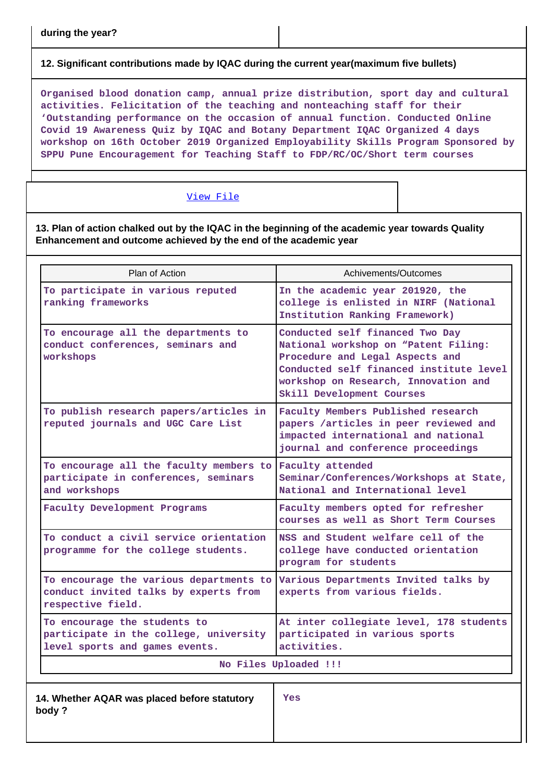# **12. Significant contributions made by IQAC during the current year(maximum five bullets)**

**Organised blood donation camp, annual prize distribution, sport day and cultural activities. Felicitation of the teaching and nonteaching staff for their 'Outstanding performance on the occasion of annual function. Conducted Online Covid 19 Awareness Quiz by IQAC and Botany Department IQAC Organized 4 days workshop on 16th October 2019 Organized Employability Skills Program Sponsored by SPPU Pune Encouragement for Teaching Staff to FDP/RC/OC/Short term courses**

### [View File](https://assessmentonline.naac.gov.in/public/Postacc/Contribution/7163_Contribution.xlsx)

**13. Plan of action chalked out by the IQAC in the beginning of the academic year towards Quality Enhancement and outcome achieved by the end of the academic year**

| Plan of Action                                                                                                    | Achivements/Outcomes                                                                                                                                                                                                       |  |  |  |  |
|-------------------------------------------------------------------------------------------------------------------|----------------------------------------------------------------------------------------------------------------------------------------------------------------------------------------------------------------------------|--|--|--|--|
| To participate in various reputed<br>ranking frameworks                                                           | In the academic year 201920, the<br>college is enlisted in NIRF (National<br>Institution Ranking Framework)                                                                                                                |  |  |  |  |
| To encourage all the departments to<br>conduct conferences, seminars and<br>workshops                             | Conducted self financed Two Day<br>National workshop on "Patent Filing:<br>Procedure and Legal Aspects and<br>Conducted self financed institute level<br>workshop on Research, Innovation and<br>Skill Development Courses |  |  |  |  |
| To publish research papers/articles in<br>reputed journals and UGC Care List                                      | Faculty Members Published research<br>papers /articles in peer reviewed and<br>impacted international and national<br>journal and conference proceedings                                                                   |  |  |  |  |
| To encourage all the faculty members to Faculty attended<br>participate in conferences, seminars<br>and workshops | Seminar/Conferences/Workshops at State,<br>National and International level                                                                                                                                                |  |  |  |  |
| Faculty Development Programs                                                                                      | Faculty members opted for refresher<br>courses as well as Short Term Courses                                                                                                                                               |  |  |  |  |
| To conduct a civil service orientation<br>programme for the college students.                                     | NSS and Student welfare cell of the<br>college have conducted orientation<br>program for students                                                                                                                          |  |  |  |  |
| To encourage the various departments to<br>conduct invited talks by experts from<br>respective field.             | Various Departments Invited talks by<br>experts from various fields.                                                                                                                                                       |  |  |  |  |
| To encourage the students to<br>participate in the college, university<br>level sports and games events.          | At inter collegiate level, 178 students<br>participated in various sports<br>activities.                                                                                                                                   |  |  |  |  |
|                                                                                                                   | No Files Uploaded !!!                                                                                                                                                                                                      |  |  |  |  |
| 14 Whather AOAD was placed before statutory                                                                       | $V \cap \mathcal{C}$                                                                                                                                                                                                       |  |  |  |  |

**14. Whether AQAR was placed before statutory body ?**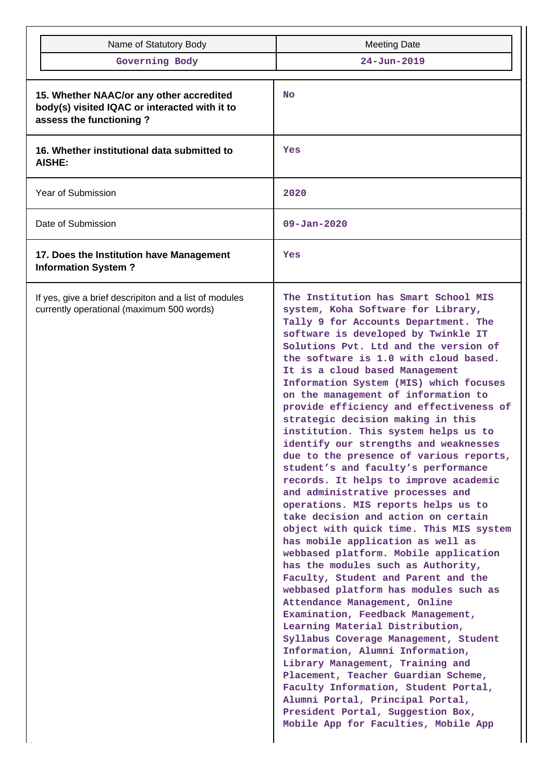| Name of Statutory Body                                                                                               | <b>Meeting Date</b>                                                                                                                                                                                                                                                                                                                                                                                                                                                                                                                                                                                                                                                                                                                                                                                                                                                                                                                                                                                                                                                                                                                                                                                                                                                                                                                                                                                                                                   |  |  |  |  |
|----------------------------------------------------------------------------------------------------------------------|-------------------------------------------------------------------------------------------------------------------------------------------------------------------------------------------------------------------------------------------------------------------------------------------------------------------------------------------------------------------------------------------------------------------------------------------------------------------------------------------------------------------------------------------------------------------------------------------------------------------------------------------------------------------------------------------------------------------------------------------------------------------------------------------------------------------------------------------------------------------------------------------------------------------------------------------------------------------------------------------------------------------------------------------------------------------------------------------------------------------------------------------------------------------------------------------------------------------------------------------------------------------------------------------------------------------------------------------------------------------------------------------------------------------------------------------------------|--|--|--|--|
| Governing Body                                                                                                       | $24 - Jun - 2019$                                                                                                                                                                                                                                                                                                                                                                                                                                                                                                                                                                                                                                                                                                                                                                                                                                                                                                                                                                                                                                                                                                                                                                                                                                                                                                                                                                                                                                     |  |  |  |  |
|                                                                                                                      |                                                                                                                                                                                                                                                                                                                                                                                                                                                                                                                                                                                                                                                                                                                                                                                                                                                                                                                                                                                                                                                                                                                                                                                                                                                                                                                                                                                                                                                       |  |  |  |  |
| 15. Whether NAAC/or any other accredited<br>body(s) visited IQAC or interacted with it to<br>assess the functioning? | No                                                                                                                                                                                                                                                                                                                                                                                                                                                                                                                                                                                                                                                                                                                                                                                                                                                                                                                                                                                                                                                                                                                                                                                                                                                                                                                                                                                                                                                    |  |  |  |  |
| 16. Whether institutional data submitted to<br><b>AISHE:</b>                                                         | Yes                                                                                                                                                                                                                                                                                                                                                                                                                                                                                                                                                                                                                                                                                                                                                                                                                                                                                                                                                                                                                                                                                                                                                                                                                                                                                                                                                                                                                                                   |  |  |  |  |
| Year of Submission                                                                                                   | 2020                                                                                                                                                                                                                                                                                                                                                                                                                                                                                                                                                                                                                                                                                                                                                                                                                                                                                                                                                                                                                                                                                                                                                                                                                                                                                                                                                                                                                                                  |  |  |  |  |
| Date of Submission                                                                                                   | $09 - Jan - 2020$                                                                                                                                                                                                                                                                                                                                                                                                                                                                                                                                                                                                                                                                                                                                                                                                                                                                                                                                                                                                                                                                                                                                                                                                                                                                                                                                                                                                                                     |  |  |  |  |
| 17. Does the Institution have Management<br><b>Information System?</b>                                               | Yes                                                                                                                                                                                                                                                                                                                                                                                                                                                                                                                                                                                                                                                                                                                                                                                                                                                                                                                                                                                                                                                                                                                                                                                                                                                                                                                                                                                                                                                   |  |  |  |  |
| If yes, give a brief descripiton and a list of modules<br>currently operational (maximum 500 words)                  | The Institution has Smart School MIS<br>system, Koha Software for Library,<br>Tally 9 for Accounts Department. The<br>software is developed by Twinkle IT<br>Solutions Pvt. Ltd and the version of<br>the software is 1.0 with cloud based.<br>It is a cloud based Management<br>Information System (MIS) which focuses<br>on the management of information to<br>provide efficiency and effectiveness of<br>strategic decision making in this<br>institution. This system helps us to<br>identify our strengths and weaknesses<br>due to the presence of various reports,<br>student's and faculty's performance<br>records. It helps to improve academic<br>and administrative processes and<br>operations. MIS reports helps us to<br>take decision and action on certain<br>object with quick time. This MIS system<br>has mobile application as well as<br>webbased platform. Mobile application<br>has the modules such as Authority,<br>Faculty, Student and Parent and the<br>webbased platform has modules such as<br>Attendance Management, Online<br>Examination, Feedback Management,<br>Learning Material Distribution,<br>Syllabus Coverage Management, Student<br>Information, Alumni Information,<br>Library Management, Training and<br>Placement, Teacher Guardian Scheme,<br>Faculty Information, Student Portal,<br>Alumni Portal, Principal Portal,<br>President Portal, Suggestion Box,<br>Mobile App for Faculties, Mobile App |  |  |  |  |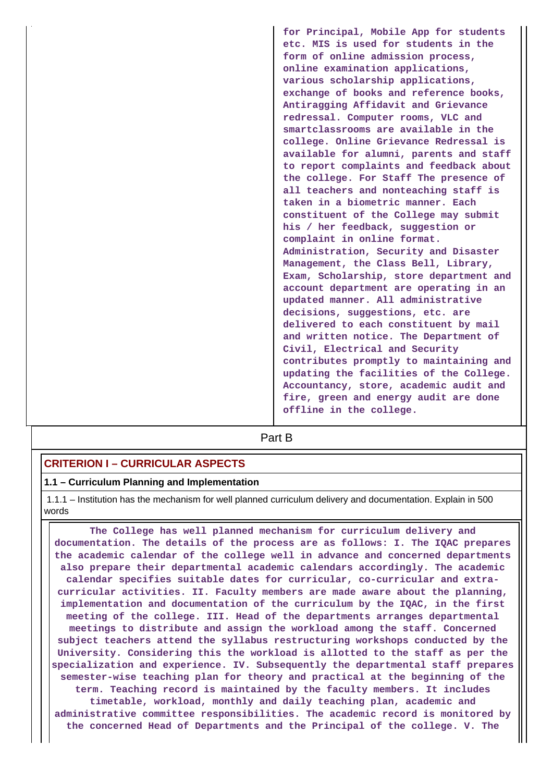**for Principal, Mobile App for students etc. MIS is used for students in the form of online admission process, online examination applications, various scholarship applications, exchange of books and reference books, Antiragging Affidavit and Grievance redressal. Computer rooms, VLC and smartclassrooms are available in the college. Online Grievance Redressal is available for alumni, parents and staff to report complaints and feedback about the college. For Staff The presence of all teachers and nonteaching staff is taken in a biometric manner. Each constituent of the College may submit his / her feedback, suggestion or complaint in online format. Administration, Security and Disaster Management, the Class Bell, Library, Exam, Scholarship, store department and account department are operating in an updated manner. All administrative decisions, suggestions, etc. are delivered to each constituent by mail and written notice. The Department of Civil, Electrical and Security contributes promptly to maintaining and updating the facilities of the College. Accountancy, store, academic audit and fire, green and energy audit are done offline in the college.**

**Part B** 

# **CRITERION I – CURRICULAR ASPECTS**

#### **1.1 – Curriculum Planning and Implementation**

 1.1.1 – Institution has the mechanism for well planned curriculum delivery and documentation. Explain in 500 words

 **The College has well planned mechanism for curriculum delivery and documentation. The details of the process are as follows: I. The IQAC prepares the academic calendar of the college well in advance and concerned departments also prepare their departmental academic calendars accordingly. The academic calendar specifies suitable dates for curricular, co-curricular and extracurricular activities. II. Faculty members are made aware about the planning, implementation and documentation of the curriculum by the IQAC, in the first meeting of the college. III. Head of the departments arranges departmental meetings to distribute and assign the workload among the staff. Concerned subject teachers attend the syllabus restructuring workshops conducted by the University. Considering this the workload is allotted to the staff as per the specialization and experience. IV. Subsequently the departmental staff prepares semester-wise teaching plan for theory and practical at the beginning of the term. Teaching record is maintained by the faculty members. It includes timetable, workload, monthly and daily teaching plan, academic and administrative committee responsibilities. The academic record is monitored by the concerned Head of Departments and the Principal of the college. V. The**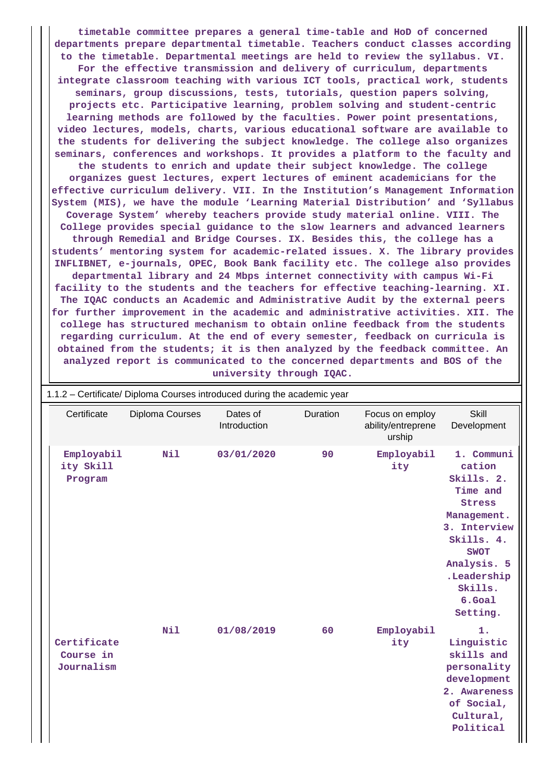**timetable committee prepares a general time-table and HoD of concerned departments prepare departmental timetable. Teachers conduct classes according to the timetable. Departmental meetings are held to review the syllabus. VI. For the effective transmission and delivery of curriculum, departments integrate classroom teaching with various ICT tools, practical work, students seminars, group discussions, tests, tutorials, question papers solving, projects etc. Participative learning, problem solving and student-centric learning methods are followed by the faculties. Power point presentations, video lectures, models, charts, various educational software are available to the students for delivering the subject knowledge. The college also organizes seminars, conferences and workshops. It provides a platform to the faculty and the students to enrich and update their subject knowledge. The college organizes guest lectures, expert lectures of eminent academicians for the effective curriculum delivery. VII. In the Institution's Management Information System (MIS), we have the module 'Learning Material Distribution' and 'Syllabus Coverage System' whereby teachers provide study material online. VIII. The College provides special guidance to the slow learners and advanced learners through Remedial and Bridge Courses. IX. Besides this, the college has a students' mentoring system for academic-related issues. X. The library provides INFLIBNET, e-journals, OPEC, Book Bank facility etc. The college also provides departmental library and 24 Mbps internet connectivity with campus Wi-Fi facility to the students and the teachers for effective teaching-learning. XI. The IQAC conducts an Academic and Administrative Audit by the external peers for further improvement in the academic and administrative activities. XII. The college has structured mechanism to obtain online feedback from the students regarding curriculum. At the end of every semester, feedback on curricula is obtained from the students; it is then analyzed by the feedback committee. An analyzed report is communicated to the concerned departments and BOS of the university through IQAC.**

| 1.1.2 - Certificate/ Diploma Courses introduced during the academic year |                 |                          |          |                                                 |                                                                                                                                                                                     |  |  |  |
|--------------------------------------------------------------------------|-----------------|--------------------------|----------|-------------------------------------------------|-------------------------------------------------------------------------------------------------------------------------------------------------------------------------------------|--|--|--|
| Certificate                                                              | Diploma Courses | Dates of<br>Introduction | Duration | Focus on employ<br>ability/entreprene<br>urship | Skill<br>Development                                                                                                                                                                |  |  |  |
| Employabil<br>ity Skill<br>Program                                       | Nil             | 03/01/2020               | 90       | Employabil<br>ity                               | 1. Communi<br>cation<br>Skills. 2.<br>Time and<br>Stress<br>Management.<br>3. Interview<br>Skills. 4.<br><b>SWOT</b><br>Analysis. 5<br>.Leadership<br>Skills.<br>6.Goal<br>Setting. |  |  |  |
| Certificate<br>Course in<br>Journalism                                   | Nil             | 01/08/2019               | 60       | Employabil<br>ity                               | 1.<br>Linguistic<br>skills and<br>personality<br>development<br>2. Awareness<br>of Social,<br>Cultural,<br>Political                                                                |  |  |  |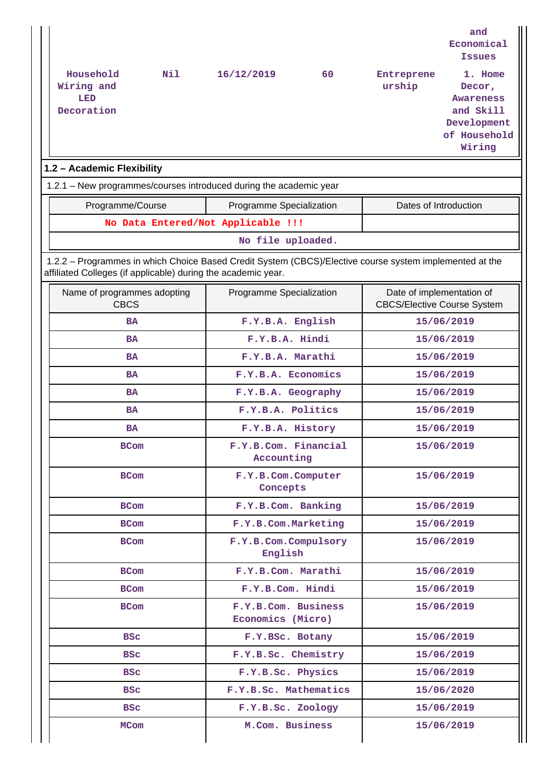| Household<br>Nil<br>Wiring and<br>LED<br>Decoration                                                                                                                      | 16/12/2019                               | 60 | Entreprene<br>urship                                            | and<br>Economical<br><b>Issues</b><br>1. Home<br>Decor,<br><b>Awareness</b><br>and Skill<br>Development<br>of Household<br>Wiring |
|--------------------------------------------------------------------------------------------------------------------------------------------------------------------------|------------------------------------------|----|-----------------------------------------------------------------|-----------------------------------------------------------------------------------------------------------------------------------|
| 1.2 - Academic Flexibility                                                                                                                                               |                                          |    |                                                                 |                                                                                                                                   |
| 1.2.1 - New programmes/courses introduced during the academic year                                                                                                       |                                          |    |                                                                 |                                                                                                                                   |
| Programme/Course                                                                                                                                                         | Programme Specialization                 |    | Dates of Introduction                                           |                                                                                                                                   |
| No Data Entered/Not Applicable !!!                                                                                                                                       |                                          |    |                                                                 |                                                                                                                                   |
|                                                                                                                                                                          | No file uploaded.                        |    |                                                                 |                                                                                                                                   |
| 1.2.2 - Programmes in which Choice Based Credit System (CBCS)/Elective course system implemented at the<br>affiliated Colleges (if applicable) during the academic year. |                                          |    |                                                                 |                                                                                                                                   |
| Name of programmes adopting<br><b>CBCS</b>                                                                                                                               | Programme Specialization                 |    | Date of implementation of<br><b>CBCS/Elective Course System</b> |                                                                                                                                   |
| <b>BA</b>                                                                                                                                                                | F.Y.B.A. English                         |    |                                                                 | 15/06/2019                                                                                                                        |
| <b>BA</b>                                                                                                                                                                | F.Y.B.A. Hindi                           |    |                                                                 | 15/06/2019                                                                                                                        |
| <b>BA</b>                                                                                                                                                                | F.Y.B.A. Marathi                         |    |                                                                 | 15/06/2019                                                                                                                        |
| <b>BA</b>                                                                                                                                                                | F.Y.B.A. Economics                       |    |                                                                 | 15/06/2019                                                                                                                        |
| <b>BA</b>                                                                                                                                                                | F.Y.B.A. Geography                       |    |                                                                 | 15/06/2019                                                                                                                        |
| <b>BA</b>                                                                                                                                                                | F.Y.B.A. Politics                        |    |                                                                 | 15/06/2019                                                                                                                        |
| <b>BA</b>                                                                                                                                                                | F.Y.B.A. History                         |    |                                                                 | 15/06/2019                                                                                                                        |
| BCom                                                                                                                                                                     | F.Y.B.Com. Financial<br>Accounting       |    |                                                                 | 15/06/2019                                                                                                                        |
| <b>BCom</b>                                                                                                                                                              | F.Y.B.Com.Computer<br>Concepts           |    |                                                                 | 15/06/2019                                                                                                                        |
| <b>BCom</b>                                                                                                                                                              | F.Y.B.Com. Banking                       |    |                                                                 | 15/06/2019                                                                                                                        |
| <b>BCom</b>                                                                                                                                                              | F.Y.B.Com.Marketing                      |    |                                                                 | 15/06/2019                                                                                                                        |
| <b>BCom</b>                                                                                                                                                              | F.Y.B.Com.Compulsory<br>English          |    |                                                                 | 15/06/2019                                                                                                                        |
| <b>BCom</b>                                                                                                                                                              | F.Y.B.Com. Marathi                       |    |                                                                 | 15/06/2019                                                                                                                        |
| <b>BCom</b>                                                                                                                                                              | F.Y.B.Com. Hindi                         |    |                                                                 | 15/06/2019                                                                                                                        |
| <b>BCom</b>                                                                                                                                                              | F.Y.B.Com. Business<br>Economics (Micro) |    |                                                                 | 15/06/2019                                                                                                                        |
| <b>BSC</b>                                                                                                                                                               | F.Y.BSc. Botany                          |    |                                                                 | 15/06/2019                                                                                                                        |
| <b>BSC</b>                                                                                                                                                               | F.Y.B.Sc. Chemistry                      |    |                                                                 | 15/06/2019                                                                                                                        |
| <b>BSC</b>                                                                                                                                                               | F.Y.B.Sc. Physics                        |    |                                                                 | 15/06/2019                                                                                                                        |
| <b>BSC</b>                                                                                                                                                               | F.Y.B.Sc. Mathematics                    |    |                                                                 | 15/06/2020                                                                                                                        |
| <b>BSC</b>                                                                                                                                                               | F.Y.B.Sc. Zoology                        |    |                                                                 | 15/06/2019                                                                                                                        |
| <b>MCom</b>                                                                                                                                                              | M.Com. Business                          |    |                                                                 | 15/06/2019                                                                                                                        |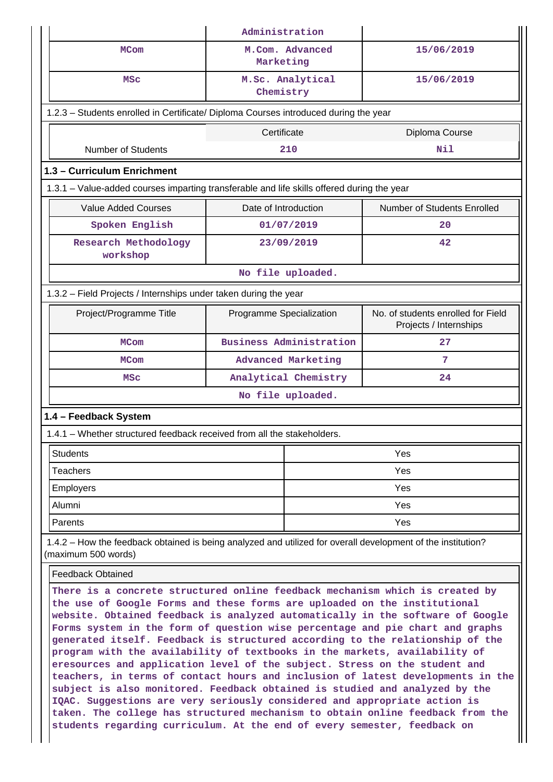|                                                                                                                                                                                                                                                                                                                                                                                                                                                                                                                                                                                                                                                                                                                                                                                                                                                                                                                                                                                        | Administration                 |                                                              |  |  |  |  |  |  |
|----------------------------------------------------------------------------------------------------------------------------------------------------------------------------------------------------------------------------------------------------------------------------------------------------------------------------------------------------------------------------------------------------------------------------------------------------------------------------------------------------------------------------------------------------------------------------------------------------------------------------------------------------------------------------------------------------------------------------------------------------------------------------------------------------------------------------------------------------------------------------------------------------------------------------------------------------------------------------------------|--------------------------------|--------------------------------------------------------------|--|--|--|--|--|--|
| <b>MCom</b>                                                                                                                                                                                                                                                                                                                                                                                                                                                                                                                                                                                                                                                                                                                                                                                                                                                                                                                                                                            | M.Com. Advanced<br>Marketing   | 15/06/2019                                                   |  |  |  |  |  |  |
| MSC                                                                                                                                                                                                                                                                                                                                                                                                                                                                                                                                                                                                                                                                                                                                                                                                                                                                                                                                                                                    | M.Sc. Analytical<br>Chemistry  | 15/06/2019                                                   |  |  |  |  |  |  |
| 1.2.3 - Students enrolled in Certificate/ Diploma Courses introduced during the year                                                                                                                                                                                                                                                                                                                                                                                                                                                                                                                                                                                                                                                                                                                                                                                                                                                                                                   |                                |                                                              |  |  |  |  |  |  |
|                                                                                                                                                                                                                                                                                                                                                                                                                                                                                                                                                                                                                                                                                                                                                                                                                                                                                                                                                                                        | Certificate                    | Diploma Course                                               |  |  |  |  |  |  |
| <b>Number of Students</b>                                                                                                                                                                                                                                                                                                                                                                                                                                                                                                                                                                                                                                                                                                                                                                                                                                                                                                                                                              | 210                            | Nil                                                          |  |  |  |  |  |  |
| 1.3 - Curriculum Enrichment                                                                                                                                                                                                                                                                                                                                                                                                                                                                                                                                                                                                                                                                                                                                                                                                                                                                                                                                                            |                                |                                                              |  |  |  |  |  |  |
| 1.3.1 - Value-added courses imparting transferable and life skills offered during the year                                                                                                                                                                                                                                                                                                                                                                                                                                                                                                                                                                                                                                                                                                                                                                                                                                                                                             |                                |                                                              |  |  |  |  |  |  |
| <b>Value Added Courses</b>                                                                                                                                                                                                                                                                                                                                                                                                                                                                                                                                                                                                                                                                                                                                                                                                                                                                                                                                                             | Date of Introduction           | Number of Students Enrolled                                  |  |  |  |  |  |  |
| Spoken English                                                                                                                                                                                                                                                                                                                                                                                                                                                                                                                                                                                                                                                                                                                                                                                                                                                                                                                                                                         | 01/07/2019                     | 20                                                           |  |  |  |  |  |  |
| Research Methodology<br>workshop                                                                                                                                                                                                                                                                                                                                                                                                                                                                                                                                                                                                                                                                                                                                                                                                                                                                                                                                                       | 23/09/2019                     | 42                                                           |  |  |  |  |  |  |
|                                                                                                                                                                                                                                                                                                                                                                                                                                                                                                                                                                                                                                                                                                                                                                                                                                                                                                                                                                                        | No file uploaded.              |                                                              |  |  |  |  |  |  |
| 1.3.2 - Field Projects / Internships under taken during the year                                                                                                                                                                                                                                                                                                                                                                                                                                                                                                                                                                                                                                                                                                                                                                                                                                                                                                                       |                                |                                                              |  |  |  |  |  |  |
| Project/Programme Title                                                                                                                                                                                                                                                                                                                                                                                                                                                                                                                                                                                                                                                                                                                                                                                                                                                                                                                                                                | Programme Specialization       | No. of students enrolled for Field<br>Projects / Internships |  |  |  |  |  |  |
| <b>MCom</b>                                                                                                                                                                                                                                                                                                                                                                                                                                                                                                                                                                                                                                                                                                                                                                                                                                                                                                                                                                            | <b>Business Administration</b> | 27                                                           |  |  |  |  |  |  |
| <b>MCom</b>                                                                                                                                                                                                                                                                                                                                                                                                                                                                                                                                                                                                                                                                                                                                                                                                                                                                                                                                                                            | Advanced Marketing             | 7                                                            |  |  |  |  |  |  |
| <b>MSC</b>                                                                                                                                                                                                                                                                                                                                                                                                                                                                                                                                                                                                                                                                                                                                                                                                                                                                                                                                                                             | Analytical Chemistry           |                                                              |  |  |  |  |  |  |
|                                                                                                                                                                                                                                                                                                                                                                                                                                                                                                                                                                                                                                                                                                                                                                                                                                                                                                                                                                                        | No file uploaded.              |                                                              |  |  |  |  |  |  |
| 1.4 - Feedback System                                                                                                                                                                                                                                                                                                                                                                                                                                                                                                                                                                                                                                                                                                                                                                                                                                                                                                                                                                  |                                |                                                              |  |  |  |  |  |  |
| 1.4.1 - Whether structured feedback received from all the stakeholders.                                                                                                                                                                                                                                                                                                                                                                                                                                                                                                                                                                                                                                                                                                                                                                                                                                                                                                                |                                |                                                              |  |  |  |  |  |  |
| <b>Students</b>                                                                                                                                                                                                                                                                                                                                                                                                                                                                                                                                                                                                                                                                                                                                                                                                                                                                                                                                                                        |                                | Yes                                                          |  |  |  |  |  |  |
| <b>Teachers</b>                                                                                                                                                                                                                                                                                                                                                                                                                                                                                                                                                                                                                                                                                                                                                                                                                                                                                                                                                                        |                                | Yes                                                          |  |  |  |  |  |  |
| <b>Employers</b>                                                                                                                                                                                                                                                                                                                                                                                                                                                                                                                                                                                                                                                                                                                                                                                                                                                                                                                                                                       |                                | Yes                                                          |  |  |  |  |  |  |
| Alumni                                                                                                                                                                                                                                                                                                                                                                                                                                                                                                                                                                                                                                                                                                                                                                                                                                                                                                                                                                                 |                                | Yes                                                          |  |  |  |  |  |  |
| Parents                                                                                                                                                                                                                                                                                                                                                                                                                                                                                                                                                                                                                                                                                                                                                                                                                                                                                                                                                                                |                                | Yes                                                          |  |  |  |  |  |  |
| 1.4.2 – How the feedback obtained is being analyzed and utilized for overall development of the institution?<br>(maximum 500 words)                                                                                                                                                                                                                                                                                                                                                                                                                                                                                                                                                                                                                                                                                                                                                                                                                                                    |                                |                                                              |  |  |  |  |  |  |
| <b>Feedback Obtained</b>                                                                                                                                                                                                                                                                                                                                                                                                                                                                                                                                                                                                                                                                                                                                                                                                                                                                                                                                                               |                                |                                                              |  |  |  |  |  |  |
| There is a concrete structured online feedback mechanism which is created by<br>the use of Google Forms and these forms are uploaded on the institutional<br>website. Obtained feedback is analyzed automatically in the software of Google<br>Forms system in the form of question wise percentage and pie chart and graphs<br>generated itself. Feedback is structured according to the relationship of the<br>program with the availability of textbooks in the markets, availability of<br>eresources and application level of the subject. Stress on the student and<br>teachers, in terms of contact hours and inclusion of latest developments in the<br>subject is also monitored. Feedback obtained is studied and analyzed by the<br>IQAC. Suggestions are very seriously considered and appropriate action is<br>taken. The college has structured mechanism to obtain online feedback from the<br>students regarding curriculum. At the end of every semester, feedback on |                                |                                                              |  |  |  |  |  |  |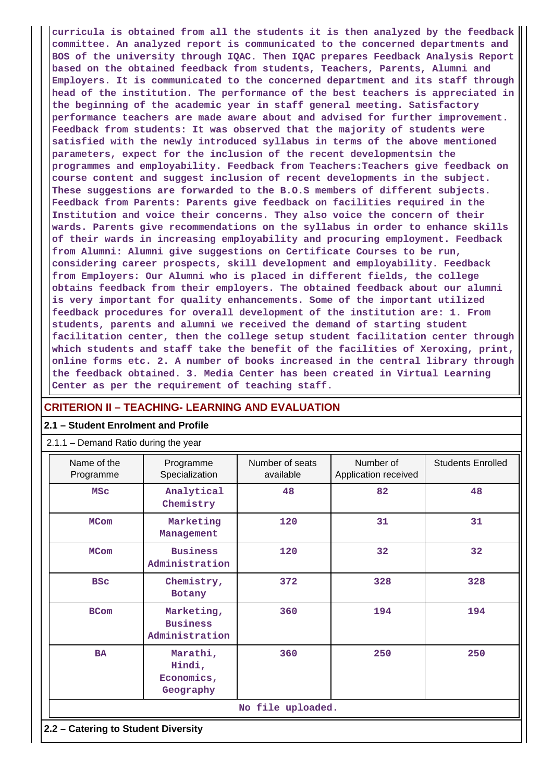**curricula is obtained from all the students it is then analyzed by the feedback committee. An analyzed report is communicated to the concerned departments and BOS of the university through IQAC. Then IQAC prepares Feedback Analysis Report based on the obtained feedback from students, Teachers, Parents, Alumni and Employers. It is communicated to the concerned department and its staff through head of the institution. The performance of the best teachers is appreciated in the beginning of the academic year in staff general meeting. Satisfactory performance teachers are made aware about and advised for further improvement. Feedback from students: It was observed that the majority of students were satisfied with the newly introduced syllabus in terms of the above mentioned parameters, expect for the inclusion of the recent developmentsin the programmes and employability. Feedback from Teachers:Teachers give feedback on course content and suggest inclusion of recent developments in the subject. These suggestions are forwarded to the B.O.S members of different subjects. Feedback from Parents: Parents give feedback on facilities required in the Institution and voice their concerns. They also voice the concern of their wards. Parents give recommendations on the syllabus in order to enhance skills of their wards in increasing employability and procuring employment. Feedback from Alumni: Alumni give suggestions on Certificate Courses to be run, considering career prospects, skill development and employability. Feedback from Employers: Our Alumni who is placed in different fields, the college obtains feedback from their employers. The obtained feedback about our alumni is very important for quality enhancements. Some of the important utilized feedback procedures for overall development of the institution are: 1. From students, parents and alumni we received the demand of starting student facilitation center, then the college setup student facilitation center through which students and staff take the benefit of the facilities of Xeroxing, print, online forms etc. 2. A number of books increased in the central library through the feedback obtained. 3. Media Center has been created in Virtual Learning Center as per the requirement of teaching staff.**

### **CRITERION II – TEACHING- LEARNING AND EVALUATION**

### **2.1 – Student Enrolment and Profile**

#### 2.1.1 – Demand Ratio during the year

| Name of the<br>Programme            | Programme<br>Specialization                     | Number of seats<br>available | Number of<br>Application received | <b>Students Enrolled</b> |  |  |  |  |
|-------------------------------------|-------------------------------------------------|------------------------------|-----------------------------------|--------------------------|--|--|--|--|
| <b>MSC</b>                          | Analytical<br>Chemistry                         | 48                           | 82                                | 48                       |  |  |  |  |
| <b>MCom</b>                         | Marketing<br>Management                         | 120                          | 31                                | 31                       |  |  |  |  |
| <b>MCom</b>                         | <b>Business</b><br>Administration               | 120                          | 32                                | 32                       |  |  |  |  |
| <b>BSC</b>                          | Chemistry,<br>Botany                            | 372                          | 328                               | 328                      |  |  |  |  |
| <b>BCom</b>                         | Marketing,<br><b>Business</b><br>Administration | 360                          | 194                               | 194                      |  |  |  |  |
| <b>BA</b>                           | Marathi,<br>Hindi,<br>Economics,<br>Geography   |                              | 250                               | 250                      |  |  |  |  |
|                                     |                                                 | No file uploaded.            |                                   |                          |  |  |  |  |
| 2.2 - Catering to Student Diversity |                                                 |                              |                                   |                          |  |  |  |  |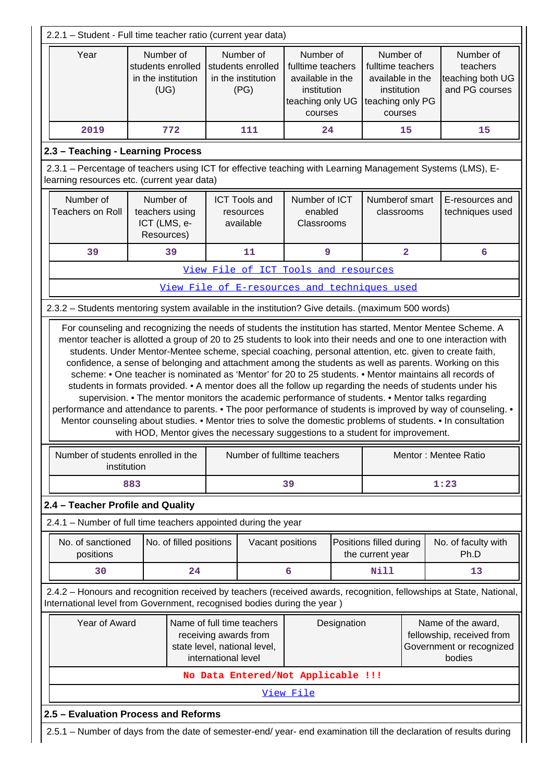| 2.2.1 - Student - Full time teacher ratio (current year data)                                                                                                                                                                                                                                                                                |                                                                                                                    |                         |                     |                                                                                                               |                                        |                                                             |                                             |                         |                                                                                                                                                                                                                                                                                                                                                                                                                                                                                                                                                                                     |
|----------------------------------------------------------------------------------------------------------------------------------------------------------------------------------------------------------------------------------------------------------------------------------------------------------------------------------------------|--------------------------------------------------------------------------------------------------------------------|-------------------------|---------------------|---------------------------------------------------------------------------------------------------------------|----------------------------------------|-------------------------------------------------------------|---------------------------------------------|-------------------------|-------------------------------------------------------------------------------------------------------------------------------------------------------------------------------------------------------------------------------------------------------------------------------------------------------------------------------------------------------------------------------------------------------------------------------------------------------------------------------------------------------------------------------------------------------------------------------------|
| Year<br>Number of<br>Number of<br>Number of<br>Number of<br>students enrolled<br>students enrolled<br>fulltime teachers<br>fulltime teachers<br>in the institution<br>in the institution<br>available in the<br>available in the<br>(UG)<br>(PG)<br>institution<br>institution<br>teaching only UG<br>teaching only PG<br>courses<br>courses |                                                                                                                    |                         |                     |                                                                                                               |                                        | Number of<br>teachers<br>teaching both UG<br>and PG courses |                                             |                         |                                                                                                                                                                                                                                                                                                                                                                                                                                                                                                                                                                                     |
| 2019                                                                                                                                                                                                                                                                                                                                         |                                                                                                                    | 772                     |                     | 111                                                                                                           | 24                                     |                                                             |                                             | 15                      | 15                                                                                                                                                                                                                                                                                                                                                                                                                                                                                                                                                                                  |
| 2.3 - Teaching - Learning Process                                                                                                                                                                                                                                                                                                            |                                                                                                                    |                         |                     |                                                                                                               |                                        |                                                             |                                             |                         |                                                                                                                                                                                                                                                                                                                                                                                                                                                                                                                                                                                     |
| 2.3.1 – Percentage of teachers using ICT for effective teaching with Learning Management Systems (LMS), E-<br>learning resources etc. (current year data)                                                                                                                                                                                    |                                                                                                                    |                         |                     |                                                                                                               |                                        |                                                             |                                             |                         |                                                                                                                                                                                                                                                                                                                                                                                                                                                                                                                                                                                     |
| Number of<br><b>Teachers on Roll</b>                                                                                                                                                                                                                                                                                                         | Number of<br>teachers using<br>ICT (LMS, e-<br>Resources)                                                          |                         |                     | <b>ICT Tools and</b><br>resources<br>available                                                                | Number of ICT<br>enabled<br>Classrooms |                                                             | Numberof smart<br>classrooms                |                         | E-resources and<br>techniques used                                                                                                                                                                                                                                                                                                                                                                                                                                                                                                                                                  |
| 39                                                                                                                                                                                                                                                                                                                                           |                                                                                                                    | 39                      |                     | 11                                                                                                            | 9                                      |                                                             |                                             | $\overline{\mathbf{2}}$ | 6                                                                                                                                                                                                                                                                                                                                                                                                                                                                                                                                                                                   |
|                                                                                                                                                                                                                                                                                                                                              |                                                                                                                    |                         |                     | View File of ICT Tools and resources                                                                          |                                        |                                                             |                                             |                         |                                                                                                                                                                                                                                                                                                                                                                                                                                                                                                                                                                                     |
|                                                                                                                                                                                                                                                                                                                                              |                                                                                                                    |                         |                     | View File of E-resources and techniques used                                                                  |                                        |                                                             |                                             |                         |                                                                                                                                                                                                                                                                                                                                                                                                                                                                                                                                                                                     |
| 2.3.2 - Students mentoring system available in the institution? Give details. (maximum 500 words)                                                                                                                                                                                                                                            |                                                                                                                    |                         |                     |                                                                                                               |                                        |                                                             |                                             |                         |                                                                                                                                                                                                                                                                                                                                                                                                                                                                                                                                                                                     |
| Number of students enrolled in the                                                                                                                                                                                                                                                                                                           |                                                                                                                    |                         |                     | with HOD, Mentor gives the necessary suggestions to a student for improvement.<br>Number of fulltime teachers |                                        |                                                             |                                             |                         | scheme: • One teacher is nominated as 'Mentor' for 20 to 25 students. • Mentor maintains all records of<br>students in formats provided. • A mentor does all the follow up regarding the needs of students under his<br>supervision. • The mentor monitors the academic performance of students. • Mentor talks regarding<br>performance and attendance to parents. • The poor performance of students is improved by way of counseling. •<br>Mentor counseling about studies. • Mentor tries to solve the domestic problems of students. • In consultation<br>Mentor: Mentee Ratio |
| institution                                                                                                                                                                                                                                                                                                                                  |                                                                                                                    |                         |                     |                                                                                                               |                                        |                                                             |                                             |                         |                                                                                                                                                                                                                                                                                                                                                                                                                                                                                                                                                                                     |
|                                                                                                                                                                                                                                                                                                                                              | 883                                                                                                                |                         |                     |                                                                                                               | 39                                     |                                                             |                                             |                         | 1:23                                                                                                                                                                                                                                                                                                                                                                                                                                                                                                                                                                                |
| 2.4 - Teacher Profile and Quality                                                                                                                                                                                                                                                                                                            |                                                                                                                    |                         |                     |                                                                                                               |                                        |                                                             |                                             |                         |                                                                                                                                                                                                                                                                                                                                                                                                                                                                                                                                                                                     |
| 2.4.1 - Number of full time teachers appointed during the year                                                                                                                                                                                                                                                                               |                                                                                                                    |                         |                     |                                                                                                               |                                        |                                                             |                                             |                         |                                                                                                                                                                                                                                                                                                                                                                                                                                                                                                                                                                                     |
| No. of sanctioned<br>positions                                                                                                                                                                                                                                                                                                               |                                                                                                                    | No. of filled positions |                     | Vacant positions                                                                                              |                                        |                                                             | Positions filled during<br>the current year |                         | No. of faculty with<br>Ph.D                                                                                                                                                                                                                                                                                                                                                                                                                                                                                                                                                         |
| 30                                                                                                                                                                                                                                                                                                                                           |                                                                                                                    | 24                      |                     |                                                                                                               | 6                                      |                                                             | <b>Nill</b>                                 |                         | 13                                                                                                                                                                                                                                                                                                                                                                                                                                                                                                                                                                                  |
| International level from Government, recognised bodies during the year)                                                                                                                                                                                                                                                                      |                                                                                                                    |                         |                     |                                                                                                               |                                        |                                                             |                                             |                         | 2.4.2 - Honours and recognition received by teachers (received awards, recognition, fellowships at State, National,                                                                                                                                                                                                                                                                                                                                                                                                                                                                 |
| Year of Award                                                                                                                                                                                                                                                                                                                                |                                                                                                                    |                         | international level | Name of full time teachers<br>receiving awards from<br>state level, national level,                           |                                        | Designation                                                 |                                             |                         | Name of the award,<br>fellowship, received from<br>Government or recognized<br>bodies                                                                                                                                                                                                                                                                                                                                                                                                                                                                                               |
|                                                                                                                                                                                                                                                                                                                                              |                                                                                                                    |                         |                     | No Data Entered/Not Applicable !!!                                                                            |                                        |                                                             |                                             |                         |                                                                                                                                                                                                                                                                                                                                                                                                                                                                                                                                                                                     |
|                                                                                                                                                                                                                                                                                                                                              |                                                                                                                    |                         |                     |                                                                                                               | View File                              |                                                             |                                             |                         |                                                                                                                                                                                                                                                                                                                                                                                                                                                                                                                                                                                     |
| 2.5 - Evaluation Process and Reforms                                                                                                                                                                                                                                                                                                         |                                                                                                                    |                         |                     |                                                                                                               |                                        |                                                             |                                             |                         |                                                                                                                                                                                                                                                                                                                                                                                                                                                                                                                                                                                     |
|                                                                                                                                                                                                                                                                                                                                              | 2.5.1 – Number of days from the date of semester-end/ year- end examination till the declaration of results during |                         |                     |                                                                                                               |                                        |                                                             |                                             |                         |                                                                                                                                                                                                                                                                                                                                                                                                                                                                                                                                                                                     |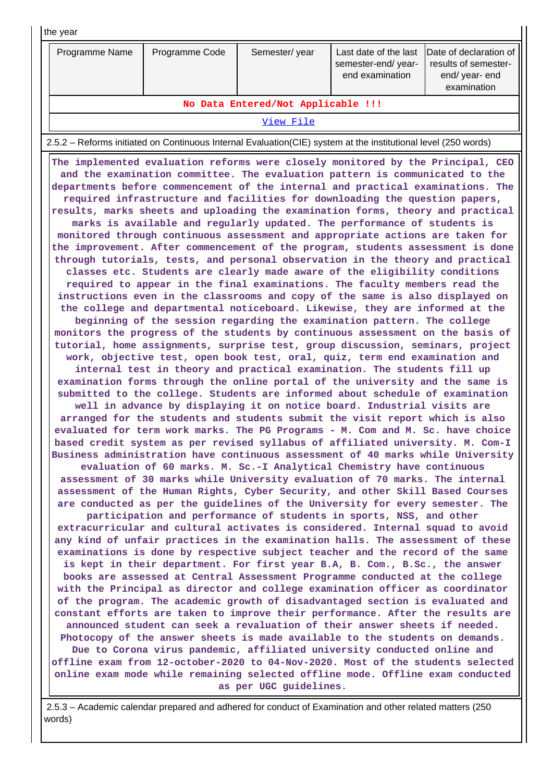| Last date of the last<br>Programme Name<br>Programme Code<br>Semester/year<br>results of semester-<br>semester-end/year-<br>end examination<br>end/ year- end<br>examination<br>No Data Entered/Not Applicable !!!<br>View File<br>2.5.2 – Reforms initiated on Continuous Internal Evaluation (CIE) system at the institutional level (250 words)<br>The implemented evaluation reforms were closely monitored by the Principal, CEO<br>and the examination committee. The evaluation pattern is communicated to the<br>departments before commencement of the internal and practical examinations. The<br>required infrastructure and facilities for downloading the question papers,<br>results, marks sheets and uploading the examination forms, theory and practical<br>marks is available and regularly updated. The performance of students is<br>monitored through continuous assessment and appropriate actions are taken for<br>the improvement. After commencement of the program, students assessment is done<br>through tutorials, tests, and personal observation in the theory and practical<br>classes etc. Students are clearly made aware of the eligibility conditions<br>required to appear in the final examinations. The faculty members read the<br>instructions even in the classrooms and copy of the same is also displayed on<br>the college and departmental noticeboard. Likewise, they are informed at the<br>beginning of the session regarding the examination pattern. The college<br>monitors the progress of the students by continuous assessment on the basis of<br>tutorial, home assignments, surprise test, group discussion, seminars, project<br>work, objective test, open book test, oral, quiz, term end examination and<br>internal test in theory and practical examination. The students fill up<br>examination forms through the online portal of the university and the same is<br>submitted to the college. Students are informed about schedule of examination<br>well in advance by displaying it on notice board. Industrial visits are<br>arranged for the students and students submit the visit report which is also<br>evaluated for term work marks. The PG Programs - M. Com and M. Sc. have choice<br>based credit system as per revised syllabus of affiliated university. M. Com-I<br>Business administration have continuous assessment of 40 marks while University<br>evaluation of 60 marks. M. Sc.-I Analytical Chemistry have continuous<br>assessment of 30 marks while University evaluation of 70 marks. The internal<br>assessment of the Human Rights, Cyber Security, and other Skill Based Courses<br>are conducted as per the guidelines of the University for every semester. The<br>participation and performance of students in sports, NSS, and other<br>extracurricular and cultural activates is considered. Internal squad to avoid<br>any kind of unfair practices in the examination halls. The assessment of these<br>examinations is done by respective subject teacher and the record of the same<br>is kept in their department. For first year B.A, B. Com., B.Sc., the answer<br>books are assessed at Central Assessment Programme conducted at the college<br>with the Principal as director and college examination officer as coordinator<br>of the program. The academic growth of disadvantaged section is evaluated and<br>constant efforts are taken to improve their performance. After the results are<br>announced student can seek a revaluation of their answer sheets if needed.<br>Photocopy of the answer sheets is made available to the students on demands.<br>Due to Corona virus pandemic, affiliated university conducted online and<br>offline exam from 12-october-2020 to 04-Nov-2020. Most of the students selected<br>online exam mode while remaining selected offline mode. Offline exam conducted<br>as per UGC guidelines. | the year |  |  |  |                        |  |  |  |  |  |  |  |
|--------------------------------------------------------------------------------------------------------------------------------------------------------------------------------------------------------------------------------------------------------------------------------------------------------------------------------------------------------------------------------------------------------------------------------------------------------------------------------------------------------------------------------------------------------------------------------------------------------------------------------------------------------------------------------------------------------------------------------------------------------------------------------------------------------------------------------------------------------------------------------------------------------------------------------------------------------------------------------------------------------------------------------------------------------------------------------------------------------------------------------------------------------------------------------------------------------------------------------------------------------------------------------------------------------------------------------------------------------------------------------------------------------------------------------------------------------------------------------------------------------------------------------------------------------------------------------------------------------------------------------------------------------------------------------------------------------------------------------------------------------------------------------------------------------------------------------------------------------------------------------------------------------------------------------------------------------------------------------------------------------------------------------------------------------------------------------------------------------------------------------------------------------------------------------------------------------------------------------------------------------------------------------------------------------------------------------------------------------------------------------------------------------------------------------------------------------------------------------------------------------------------------------------------------------------------------------------------------------------------------------------------------------------------------------------------------------------------------------------------------------------------------------------------------------------------------------------------------------------------------------------------------------------------------------------------------------------------------------------------------------------------------------------------------------------------------------------------------------------------------------------------------------------------------------------------------------------------------------------------------------------------------------------------------------------------------------------------------------------------------------------------------------------------------------------------------------------------------------------------------------------------------------------------------------------------------------------------------------------------------------------------------------------------------------------------------------------------------------------------------------------------------------------------------------------------------------------------------------------------------------------------------------------------------------------------------------|----------|--|--|--|------------------------|--|--|--|--|--|--|--|
|                                                                                                                                                                                                                                                                                                                                                                                                                                                                                                                                                                                                                                                                                                                                                                                                                                                                                                                                                                                                                                                                                                                                                                                                                                                                                                                                                                                                                                                                                                                                                                                                                                                                                                                                                                                                                                                                                                                                                                                                                                                                                                                                                                                                                                                                                                                                                                                                                                                                                                                                                                                                                                                                                                                                                                                                                                                                                                                                                                                                                                                                                                                                                                                                                                                                                                                                                                                                                                                                                                                                                                                                                                                                                                                                                                                                                                                                                                                                                        |          |  |  |  | Date of declaration of |  |  |  |  |  |  |  |
|                                                                                                                                                                                                                                                                                                                                                                                                                                                                                                                                                                                                                                                                                                                                                                                                                                                                                                                                                                                                                                                                                                                                                                                                                                                                                                                                                                                                                                                                                                                                                                                                                                                                                                                                                                                                                                                                                                                                                                                                                                                                                                                                                                                                                                                                                                                                                                                                                                                                                                                                                                                                                                                                                                                                                                                                                                                                                                                                                                                                                                                                                                                                                                                                                                                                                                                                                                                                                                                                                                                                                                                                                                                                                                                                                                                                                                                                                                                                                        |          |  |  |  |                        |  |  |  |  |  |  |  |
|                                                                                                                                                                                                                                                                                                                                                                                                                                                                                                                                                                                                                                                                                                                                                                                                                                                                                                                                                                                                                                                                                                                                                                                                                                                                                                                                                                                                                                                                                                                                                                                                                                                                                                                                                                                                                                                                                                                                                                                                                                                                                                                                                                                                                                                                                                                                                                                                                                                                                                                                                                                                                                                                                                                                                                                                                                                                                                                                                                                                                                                                                                                                                                                                                                                                                                                                                                                                                                                                                                                                                                                                                                                                                                                                                                                                                                                                                                                                                        |          |  |  |  |                        |  |  |  |  |  |  |  |
|                                                                                                                                                                                                                                                                                                                                                                                                                                                                                                                                                                                                                                                                                                                                                                                                                                                                                                                                                                                                                                                                                                                                                                                                                                                                                                                                                                                                                                                                                                                                                                                                                                                                                                                                                                                                                                                                                                                                                                                                                                                                                                                                                                                                                                                                                                                                                                                                                                                                                                                                                                                                                                                                                                                                                                                                                                                                                                                                                                                                                                                                                                                                                                                                                                                                                                                                                                                                                                                                                                                                                                                                                                                                                                                                                                                                                                                                                                                                                        |          |  |  |  |                        |  |  |  |  |  |  |  |
|                                                                                                                                                                                                                                                                                                                                                                                                                                                                                                                                                                                                                                                                                                                                                                                                                                                                                                                                                                                                                                                                                                                                                                                                                                                                                                                                                                                                                                                                                                                                                                                                                                                                                                                                                                                                                                                                                                                                                                                                                                                                                                                                                                                                                                                                                                                                                                                                                                                                                                                                                                                                                                                                                                                                                                                                                                                                                                                                                                                                                                                                                                                                                                                                                                                                                                                                                                                                                                                                                                                                                                                                                                                                                                                                                                                                                                                                                                                                                        |          |  |  |  |                        |  |  |  |  |  |  |  |

 2.5.3 – Academic calendar prepared and adhered for conduct of Examination and other related matters (250 words)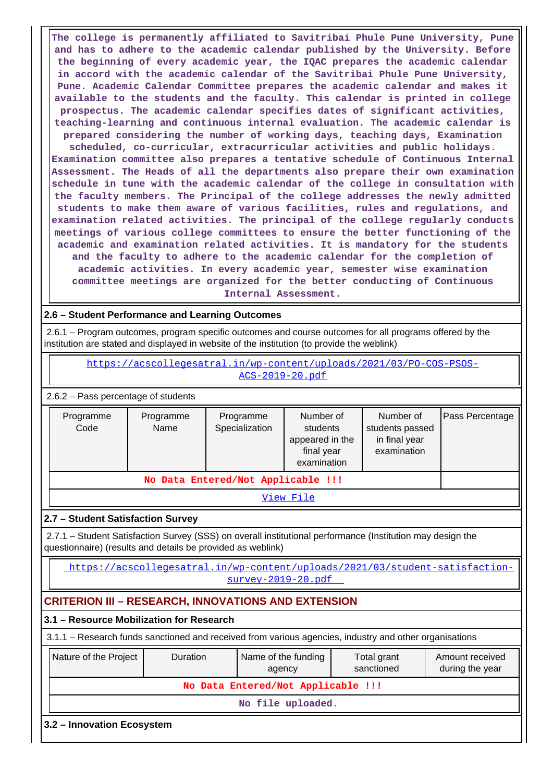**The college is permanently affiliated to Savitribai Phule Pune University, Pune and has to adhere to the academic calendar published by the University. Before the beginning of every academic year, the IQAC prepares the academic calendar in accord with the academic calendar of the Savitribai Phule Pune University, Pune. Academic Calendar Committee prepares the academic calendar and makes it available to the students and the faculty. This calendar is printed in college prospectus. The academic calendar specifies dates of significant activities, teaching-learning and continuous internal evaluation. The academic calendar is prepared considering the number of working days, teaching days, Examination scheduled, co-curricular, extracurricular activities and public holidays. Examination committee also prepares a tentative schedule of Continuous Internal Assessment. The Heads of all the departments also prepare their own examination schedule in tune with the academic calendar of the college in consultation with the faculty members. The Principal of the college addresses the newly admitted students to make them aware of various facilities, rules and regulations, and examination related activities. The principal of the college regularly conducts meetings of various college committees to ensure the better functioning of the academic and examination related activities. It is mandatory for the students and the faculty to adhere to the academic calendar for the completion of academic activities. In every academic year, semester wise examination committee meetings are organized for the better conducting of Continuous Internal Assessment.**

# **2.6 – Student Performance and Learning Outcomes**

 2.6.1 – Program outcomes, program specific outcomes and course outcomes for all programs offered by the institution are stated and displayed in website of the institution (to provide the weblink)

 [https://acscollegesatral.in/wp-content/uploads/2021/03/PO-COS-PSOS-](https://acscollegesatral.in/wp-content/uploads/2021/03/PO-COS-PSOS-ACS-2019-20.pdf)[ACS-2019-20.pdf](https://acscollegesatral.in/wp-content/uploads/2021/03/PO-COS-PSOS-ACS-2019-20.pdf)

2.6.2 – Pass percentage of students

| Programme<br>Code                  | Programme<br>Name | Programme<br>Specialization | Number of<br>students<br>appeared in the<br>final year<br>examination | Number of<br>students passed<br>in final year<br>examination |  |  |  |  |  |
|------------------------------------|-------------------|-----------------------------|-----------------------------------------------------------------------|--------------------------------------------------------------|--|--|--|--|--|
| No Data Entered/Not Applicable !!! |                   |                             |                                                                       |                                                              |  |  |  |  |  |
| View File                          |                   |                             |                                                                       |                                                              |  |  |  |  |  |

### **2.7 – Student Satisfaction Survey**

 2.7.1 – Student Satisfaction Survey (SSS) on overall institutional performance (Institution may design the questionnaire) (results and details be provided as weblink)

 [https://acscollegesatral.in/wp-content/uploads/2021/03/student-satisfaction](https://acscollegesatral.in/wp-content/uploads/2021/03/student-satisfaction-survey-2019-20.pdf)[survey-2019-20.pdf](https://acscollegesatral.in/wp-content/uploads/2021/03/student-satisfaction-survey-2019-20.pdf) 

# **CRITERION III – RESEARCH, INNOVATIONS AND EXTENSION**

### **3.1 – Resource Mobilization for Research**

3.1.1 – Research funds sanctioned and received from various agencies, industry and other organisations

| Nature of the Project              | <b>Duration</b>   | Name of the funding<br>agency | Total grant<br>sanctioned | Amount received<br>during the year |  |  |  |  |  |
|------------------------------------|-------------------|-------------------------------|---------------------------|------------------------------------|--|--|--|--|--|
| No Data Entered/Not Applicable !!! |                   |                               |                           |                                    |  |  |  |  |  |
|                                    | No file uploaded. |                               |                           |                                    |  |  |  |  |  |
| 3.2 – Innovation Ecosystem         |                   |                               |                           |                                    |  |  |  |  |  |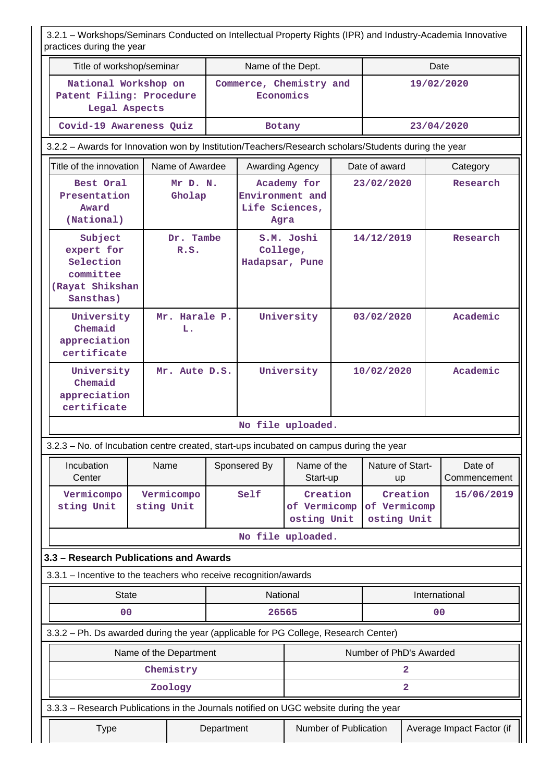3.2.1 – Workshops/Seminars Conducted on Intellectual Property Rights (IPR) and Industry-Academia Innovative practices during the year

| practices during the year                                                                            |                          |            |                                           |                                         |            |                             |                         |                         |  |
|------------------------------------------------------------------------------------------------------|--------------------------|------------|-------------------------------------------|-----------------------------------------|------------|-----------------------------|-------------------------|-------------------------|--|
| Title of workshop/seminar                                                                            |                          |            | Name of the Dept.                         |                                         |            |                             |                         | Date                    |  |
| National Workshop on<br>Patent Filing: Procedure<br>Legal Aspects                                    |                          |            | Commerce, Chemistry and<br>Economics      |                                         |            |                             | 19/02/2020              |                         |  |
| Covid-19 Awareness Quiz                                                                              |                          |            | Botany                                    |                                         |            |                             |                         | 23/04/2020              |  |
| 3.2.2 - Awards for Innovation won by Institution/Teachers/Research scholars/Students during the year |                          |            |                                           |                                         |            |                             |                         |                         |  |
| Title of the innovation                                                                              | Name of Awardee          |            | Awarding Agency                           |                                         |            | Date of award               | Category                |                         |  |
| Best Oral<br>Presentation<br>Award<br>(National)                                                     | Mr D. N.<br>Gholap       |            | Environment and<br>Life Sciences,<br>Agra | Academy for                             |            | 23/02/2020                  |                         | Research                |  |
| Subject<br>expert for<br>Selection<br>committee<br>(Rayat Shikshan<br>Sansthas)                      | Dr. Tambe<br>R.S.        |            | College,<br>Hadapsar, Pune                | S.M. Joshi                              |            | 14/12/2019                  |                         | Research                |  |
| University<br>Chemaid<br>appreciation<br>certificate                                                 | Mr. Harale P.<br>L.      |            |                                           | University                              | 03/02/2020 |                             |                         | Academic                |  |
| University<br>Chemaid<br>appreciation<br>certificate                                                 | Mr. Aute D.S.            |            |                                           | University                              |            | 10/02/2020                  |                         | Academic                |  |
|                                                                                                      |                          |            | No file uploaded.                         |                                         |            |                             |                         |                         |  |
| 3.2.3 - No. of Incubation centre created, start-ups incubated on campus during the year              |                          |            |                                           |                                         |            |                             |                         |                         |  |
| Incubation<br>Center                                                                                 | Name                     |            | Sponsered By                              | Name of the<br>Start-up                 |            | Nature of Start-<br>up      |                         | Date of<br>Commencement |  |
| Vermicompo<br>sting Unit                                                                             | Vermicompo<br>sting Unit |            | Self                                      | Creation<br>of Vermicomp<br>osting Unit |            | of Vermicomp<br>osting Unit | Creation                | 15/06/2019              |  |
|                                                                                                      |                          |            | No file uploaded.                         |                                         |            |                             |                         |                         |  |
| 3.3 - Research Publications and Awards                                                               |                          |            |                                           |                                         |            |                             |                         |                         |  |
| 3.3.1 - Incentive to the teachers who receive recognition/awards                                     |                          |            |                                           |                                         |            |                             |                         |                         |  |
| <b>State</b>                                                                                         |                          |            | National                                  |                                         |            |                             |                         | International           |  |
| 0 <sub>0</sub>                                                                                       |                          |            | 26565                                     |                                         |            |                             |                         | 0 <sub>0</sub>          |  |
| 3.3.2 - Ph. Ds awarded during the year (applicable for PG College, Research Center)                  |                          |            |                                           |                                         |            |                             |                         |                         |  |
|                                                                                                      | Name of the Department   |            |                                           |                                         |            | Number of PhD's Awarded     |                         |                         |  |
|                                                                                                      | Chemistry                |            |                                           |                                         |            |                             | 2                       |                         |  |
|                                                                                                      | Zoology                  |            |                                           |                                         |            |                             | $\overline{\mathbf{2}}$ |                         |  |
| 3.3.3 - Research Publications in the Journals notified on UGC website during the year                |                          |            |                                           |                                         |            |                             |                         |                         |  |
| <b>Type</b>                                                                                          |                          | Department |                                           | Number of Publication                   |            | Average Impact Factor (if   |                         |                         |  |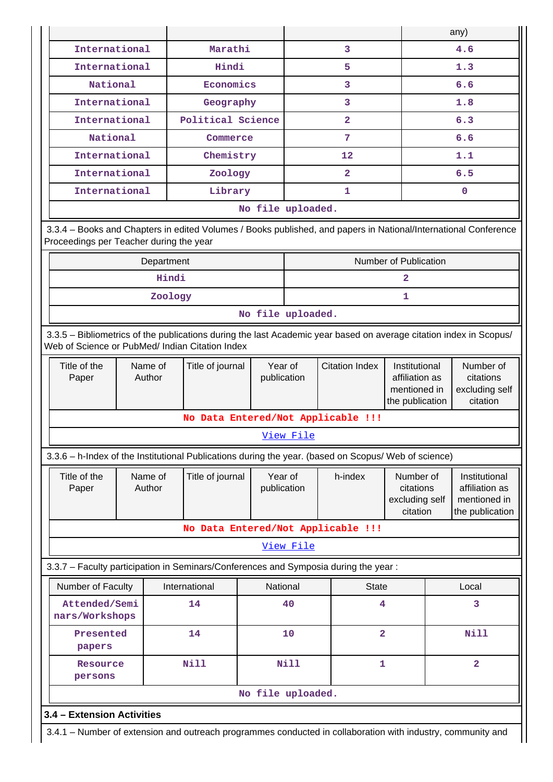|                                                                                                                                                                       |                             |                                                                                                             |                        |                       |                                                                    |                                                      |                                                      | any)                                                               |  |
|-----------------------------------------------------------------------------------------------------------------------------------------------------------------------|-----------------------------|-------------------------------------------------------------------------------------------------------------|------------------------|-----------------------|--------------------------------------------------------------------|------------------------------------------------------|------------------------------------------------------|--------------------------------------------------------------------|--|
| International                                                                                                                                                         |                             | Marathi                                                                                                     |                        |                       | 3                                                                  |                                                      |                                                      | 4.6                                                                |  |
| International                                                                                                                                                         |                             | Hindi                                                                                                       |                        |                       | 5                                                                  |                                                      |                                                      | 1.3                                                                |  |
| National                                                                                                                                                              |                             | Economics                                                                                                   |                        |                       | 3                                                                  |                                                      |                                                      | 6.6                                                                |  |
| International                                                                                                                                                         |                             | Geography                                                                                                   |                        |                       | 3                                                                  |                                                      |                                                      | 1.8                                                                |  |
| International                                                                                                                                                         |                             | Political Science                                                                                           |                        |                       | $\overline{\mathbf{2}}$                                            |                                                      | 6.3                                                  |                                                                    |  |
| National                                                                                                                                                              |                             | Commerce                                                                                                    |                        |                       | 7                                                                  |                                                      | 6.6                                                  |                                                                    |  |
| International                                                                                                                                                         |                             | Chemistry                                                                                                   |                        |                       | $12 \overline{ }$                                                  |                                                      |                                                      | 1.1                                                                |  |
| International                                                                                                                                                         |                             | Zoology                                                                                                     |                        |                       | $\overline{2}$                                                     |                                                      |                                                      | 6.5                                                                |  |
| International                                                                                                                                                         |                             | Library                                                                                                     |                        |                       | 1                                                                  |                                                      |                                                      | $\mathbf{0}$                                                       |  |
|                                                                                                                                                                       |                             |                                                                                                             | No file uploaded.      |                       |                                                                    |                                                      |                                                      |                                                                    |  |
| 3.3.4 - Books and Chapters in edited Volumes / Books published, and papers in National/International Conference<br>Proceedings per Teacher during the year            |                             |                                                                                                             |                        |                       |                                                                    |                                                      |                                                      |                                                                    |  |
|                                                                                                                                                                       | Department                  |                                                                                                             |                        |                       |                                                                    | Number of Publication                                |                                                      |                                                                    |  |
|                                                                                                                                                                       |                             | Hindi                                                                                                       |                        |                       |                                                                    | 2                                                    |                                                      |                                                                    |  |
|                                                                                                                                                                       |                             | Zoology                                                                                                     |                        |                       |                                                                    | 1                                                    |                                                      |                                                                    |  |
|                                                                                                                                                                       | No file uploaded.           |                                                                                                             |                        |                       |                                                                    |                                                      |                                                      |                                                                    |  |
| 3.3.5 - Bibliometrics of the publications during the last Academic year based on average citation index in Scopus/<br>Web of Science or PubMed/ Indian Citation Index |                             |                                                                                                             |                        |                       |                                                                    |                                                      |                                                      |                                                                    |  |
| Title of the<br>Paper                                                                                                                                                 | Name of<br>Title of journal | Year of<br>publication                                                                                      |                        | <b>Citation Index</b> | Institutional<br>affiliation as<br>mentioned in<br>the publication |                                                      | Number of<br>citations<br>excluding self<br>citation |                                                                    |  |
|                                                                                                                                                                       |                             |                                                                                                             |                        |                       | No Data Entered/Not Applicable !!!                                 |                                                      |                                                      |                                                                    |  |
|                                                                                                                                                                       |                             |                                                                                                             |                        | View File             |                                                                    |                                                      |                                                      |                                                                    |  |
| 3.3.6 - h-Index of the Institutional Publications during the year. (based on Scopus/ Web of science)                                                                  |                             |                                                                                                             |                        |                       |                                                                    |                                                      |                                                      |                                                                    |  |
| Title of the<br>Paper                                                                                                                                                 | Name of<br>Author           | Title of journal                                                                                            | Year of<br>publication |                       | h-index                                                            | Number of<br>citations<br>excluding self<br>citation |                                                      | Institutional<br>affiliation as<br>mentioned in<br>the publication |  |
|                                                                                                                                                                       |                             |                                                                                                             |                        |                       | No Data Entered/Not Applicable !!!                                 |                                                      |                                                      |                                                                    |  |
|                                                                                                                                                                       |                             |                                                                                                             |                        | View File             |                                                                    |                                                      |                                                      |                                                                    |  |
| 3.3.7 - Faculty participation in Seminars/Conferences and Symposia during the year:                                                                                   |                             |                                                                                                             |                        |                       |                                                                    |                                                      |                                                      |                                                                    |  |
| Number of Faculty                                                                                                                                                     |                             | International                                                                                               | National               |                       | <b>State</b>                                                       |                                                      |                                                      | Local                                                              |  |
| Attended/Semi<br>nars/Workshops                                                                                                                                       |                             | 14                                                                                                          |                        | 40                    | 4                                                                  |                                                      |                                                      | 3                                                                  |  |
| Presented<br>papers                                                                                                                                                   |                             | 14                                                                                                          |                        | 10                    | $\overline{a}$                                                     |                                                      |                                                      | <b>Nill</b>                                                        |  |
| Resource<br>persons                                                                                                                                                   |                             | <b>Nill</b>                                                                                                 |                        | <b>Nill</b>           | 1                                                                  |                                                      |                                                      | $\overline{2}$                                                     |  |
|                                                                                                                                                                       |                             |                                                                                                             | No file uploaded.      |                       |                                                                    |                                                      |                                                      |                                                                    |  |
| 3.4 - Extension Activities                                                                                                                                            |                             |                                                                                                             |                        |                       |                                                                    |                                                      |                                                      |                                                                    |  |
|                                                                                                                                                                       |                             | 3.4.1 - Number of extension and outreach programmes conducted in collaboration with industry, community and |                        |                       |                                                                    |                                                      |                                                      |                                                                    |  |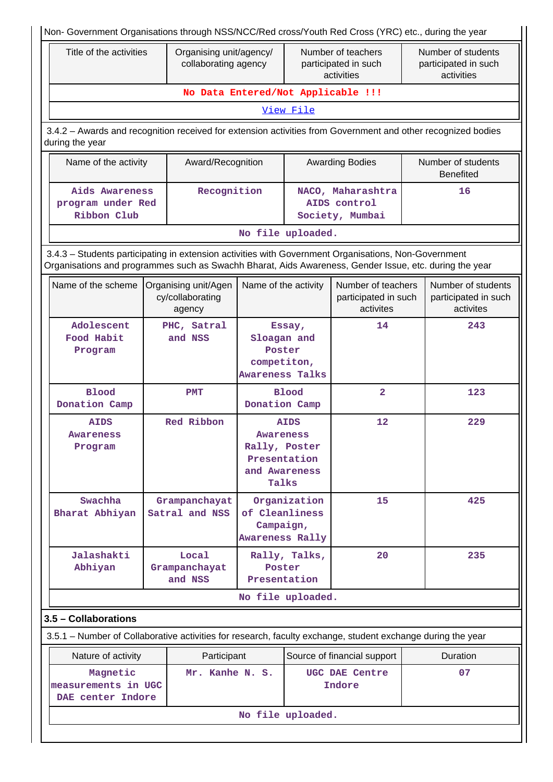| Non- Government Organisations through NSS/NCC/Red cross/Youth Red Cross (YRC) etc., during the year                                                                                                            |  |                                                    |                                                                             |               |                                                          |  |                                                          |
|----------------------------------------------------------------------------------------------------------------------------------------------------------------------------------------------------------------|--|----------------------------------------------------|-----------------------------------------------------------------------------|---------------|----------------------------------------------------------|--|----------------------------------------------------------|
| Title of the activities                                                                                                                                                                                        |  | Organising unit/agency/<br>collaborating agency    |                                                                             |               | Number of teachers<br>participated in such<br>activities |  | Number of students<br>participated in such<br>activities |
|                                                                                                                                                                                                                |  | No Data Entered/Not Applicable !!!                 |                                                                             |               |                                                          |  |                                                          |
|                                                                                                                                                                                                                |  |                                                    |                                                                             | View File     |                                                          |  |                                                          |
| 3.4.2 - Awards and recognition received for extension activities from Government and other recognized bodies<br>during the year                                                                                |  |                                                    |                                                                             |               |                                                          |  |                                                          |
| Name of the activity                                                                                                                                                                                           |  | Award/Recognition                                  |                                                                             |               | <b>Awarding Bodies</b>                                   |  | Number of students<br><b>Benefited</b>                   |
| Aids Awareness<br>program under Red<br>Ribbon Club                                                                                                                                                             |  | Recognition                                        |                                                                             |               | NACO, Maharashtra<br>AIDS control<br>Society, Mumbai     |  | 16                                                       |
|                                                                                                                                                                                                                |  |                                                    | No file uploaded.                                                           |               |                                                          |  |                                                          |
| 3.4.3 - Students participating in extension activities with Government Organisations, Non-Government<br>Organisations and programmes such as Swachh Bharat, Aids Awareness, Gender Issue, etc. during the year |  |                                                    |                                                                             |               |                                                          |  |                                                          |
| Name of the scheme                                                                                                                                                                                             |  | Organising unit/Agen<br>cy/collaborating<br>agency | Name of the activity                                                        |               | Number of teachers<br>participated in such<br>activites  |  | Number of students<br>participated in such<br>activites  |
| Adolescent<br>Food Habit<br>Program                                                                                                                                                                            |  | PHC, Satral<br>and NSS                             | Essay,<br>Sloagan and<br>Poster<br>competiton,<br><b>Awareness Talks</b>    |               | 14                                                       |  | 243                                                      |
| <b>Blood</b><br>Donation Camp                                                                                                                                                                                  |  | <b>PMT</b>                                         | Donation Camp                                                               | <b>Blood</b>  | $\overline{\mathbf{2}}$                                  |  | 123                                                      |
| <b>AIDS</b><br>Awareness<br>Program                                                                                                                                                                            |  | Red Ribbon                                         | <b>Awareness</b><br>Rally, Poster<br>Presentation<br>and Awareness<br>Talks | <b>AIDS</b>   | 12                                                       |  | 229                                                      |
| Swachha<br>Bharat Abhiyan                                                                                                                                                                                      |  | Grampanchayat<br>Satral and NSS                    | of Cleanliness<br>Campaign,<br><b>Awareness Rally</b>                       | Organization  | 15                                                       |  | 425                                                      |
| Jalashakti<br>Abhiyan                                                                                                                                                                                          |  | Local<br>Grampanchayat<br>and NSS                  | Poster<br>Presentation                                                      | Rally, Talks, | 20                                                       |  | 235                                                      |
|                                                                                                                                                                                                                |  |                                                    | No file uploaded.                                                           |               |                                                          |  |                                                          |
| 3.5 - Collaborations                                                                                                                                                                                           |  |                                                    |                                                                             |               |                                                          |  |                                                          |
| 3.5.1 – Number of Collaborative activities for research, faculty exchange, student exchange during the year                                                                                                    |  |                                                    |                                                                             |               |                                                          |  |                                                          |
| Nature of activity                                                                                                                                                                                             |  | Participant                                        |                                                                             |               | Source of financial support                              |  | Duration                                                 |
| 07<br>Magnetic<br>Mr. Kanhe N. S.<br>UGC DAE Centre<br>measurements in UGC<br>Indore<br>DAE center Indore                                                                                                      |  |                                                    |                                                                             |               |                                                          |  |                                                          |
|                                                                                                                                                                                                                |  |                                                    | No file uploaded.                                                           |               |                                                          |  |                                                          |
|                                                                                                                                                                                                                |  |                                                    |                                                                             |               |                                                          |  |                                                          |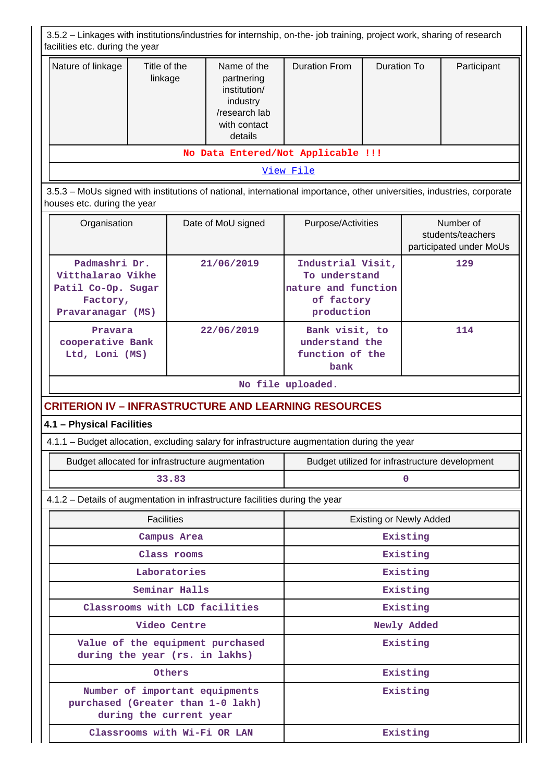| 3.5.2 - Linkages with institutions/industries for internship, on-the- job training, project work, sharing of research |                         |                   |                                                                                                                        |                                                                                       |                    |                                |                                                           |  |  |
|-----------------------------------------------------------------------------------------------------------------------|-------------------------|-------------------|------------------------------------------------------------------------------------------------------------------------|---------------------------------------------------------------------------------------|--------------------|--------------------------------|-----------------------------------------------------------|--|--|
| facilities etc. during the year                                                                                       |                         |                   |                                                                                                                        |                                                                                       |                    |                                |                                                           |  |  |
| Nature of linkage                                                                                                     | Title of the<br>linkage |                   | Name of the<br>partnering<br>institution/<br>industry<br>/research lab<br>with contact<br>details                      | <b>Duration From</b>                                                                  | <b>Duration To</b> |                                | Participant                                               |  |  |
|                                                                                                                       |                         |                   | No Data Entered/Not Applicable !!!                                                                                     |                                                                                       |                    |                                |                                                           |  |  |
|                                                                                                                       |                         |                   |                                                                                                                        | View File                                                                             |                    |                                |                                                           |  |  |
| houses etc. during the year                                                                                           |                         |                   | 3.5.3 - MoUs signed with institutions of national, international importance, other universities, industries, corporate |                                                                                       |                    |                                |                                                           |  |  |
| Organisation                                                                                                          |                         |                   | Date of MoU signed                                                                                                     | Purpose/Activities                                                                    |                    |                                | Number of<br>students/teachers<br>participated under MoUs |  |  |
| Padmashri Dr.<br>Vitthalarao Vikhe<br>Patil Co-Op. Sugar<br>Factory,<br>Pravaranagar (MS)                             |                         |                   | 21/06/2019                                                                                                             | Industrial Visit,<br>To understand<br>nature and function<br>of factory<br>production |                    |                                | 129                                                       |  |  |
| Pravara<br>cooperative Bank<br>Ltd, Loni (MS)                                                                         |                         |                   | 22/06/2019                                                                                                             | Bank visit, to<br>understand the<br>function of the<br>bank                           |                    |                                | 114                                                       |  |  |
|                                                                                                                       |                         |                   |                                                                                                                        | No file uploaded.                                                                     |                    |                                |                                                           |  |  |
| <b>CRITERION IV - INFRASTRUCTURE AND LEARNING RESOURCES</b>                                                           |                         |                   |                                                                                                                        |                                                                                       |                    |                                |                                                           |  |  |
| 4.1 - Physical Facilities                                                                                             |                         |                   |                                                                                                                        |                                                                                       |                    |                                |                                                           |  |  |
|                                                                                                                       |                         |                   | 4.1.1 - Budget allocation, excluding salary for infrastructure augmentation during the year                            |                                                                                       |                    |                                |                                                           |  |  |
|                                                                                                                       |                         |                   | Budget allocated for infrastructure augmentation                                                                       | Budget utilized for infrastructure development                                        |                    |                                |                                                           |  |  |
|                                                                                                                       |                         | 33.83             |                                                                                                                        |                                                                                       |                    | n                              |                                                           |  |  |
|                                                                                                                       |                         |                   | 4.1.2 - Details of augmentation in infrastructure facilities during the year                                           |                                                                                       |                    |                                |                                                           |  |  |
|                                                                                                                       |                         | <b>Facilities</b> |                                                                                                                        |                                                                                       |                    | <b>Existing or Newly Added</b> |                                                           |  |  |
|                                                                                                                       |                         | Campus Area       |                                                                                                                        |                                                                                       |                    | Existing                       |                                                           |  |  |
|                                                                                                                       |                         | Class rooms       |                                                                                                                        |                                                                                       |                    | Existing                       |                                                           |  |  |
|                                                                                                                       |                         | Laboratories      |                                                                                                                        |                                                                                       |                    | Existing                       |                                                           |  |  |
|                                                                                                                       |                         | Seminar Halls     |                                                                                                                        |                                                                                       |                    | Existing                       |                                                           |  |  |
|                                                                                                                       |                         |                   | Classrooms with LCD facilities                                                                                         | Existing                                                                              |                    |                                |                                                           |  |  |
|                                                                                                                       |                         | Video Centre      |                                                                                                                        | Newly Added                                                                           |                    |                                |                                                           |  |  |
| during the year (rs. in lakhs)                                                                                        |                         |                   | Value of the equipment purchased                                                                                       |                                                                                       |                    | Existing                       |                                                           |  |  |
|                                                                                                                       |                         | Others            |                                                                                                                        |                                                                                       |                    | Existing                       |                                                           |  |  |
|                                                                                                                       | during the current year |                   | Number of important equipments<br>purchased (Greater than 1-0 lakh)                                                    |                                                                                       |                    | Existing                       |                                                           |  |  |
|                                                                                                                       |                         |                   | Classrooms with Wi-Fi OR LAN                                                                                           | Existing                                                                              |                    |                                |                                                           |  |  |

 $\mathbf{L}$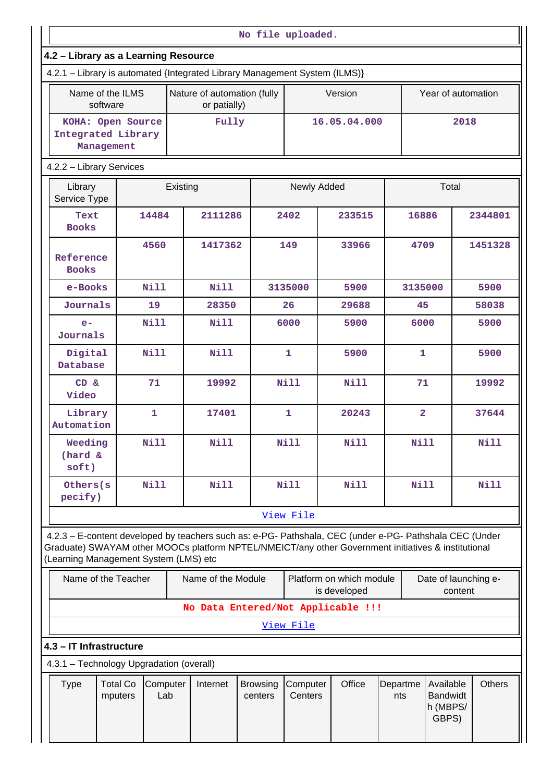|                                                                                                                                                                                                                                                         |                                                       |                 |          |                                             | No file uploaded.          |                     |                                          |    |                         |                                                   |       |               |
|---------------------------------------------------------------------------------------------------------------------------------------------------------------------------------------------------------------------------------------------------------|-------------------------------------------------------|-----------------|----------|---------------------------------------------|----------------------------|---------------------|------------------------------------------|----|-------------------------|---------------------------------------------------|-------|---------------|
| 4.2 - Library as a Learning Resource                                                                                                                                                                                                                    |                                                       |                 |          |                                             |                            |                     |                                          |    |                         |                                                   |       |               |
| 4.2.1 - Library is automated {Integrated Library Management System (ILMS)}                                                                                                                                                                              |                                                       |                 |          |                                             |                            |                     |                                          |    |                         |                                                   |       |               |
|                                                                                                                                                                                                                                                         | Name of the ILMS<br>software                          |                 |          | Nature of automation (fully<br>or patially) |                            |                     | Version                                  |    |                         | Year of automation                                |       |               |
|                                                                                                                                                                                                                                                         | KOHA: Open Source<br>Integrated Library<br>Management |                 | Fully    |                                             |                            | 16.05.04.000        |                                          |    | 2018                    |                                                   |       |               |
| 4.2.2 - Library Services                                                                                                                                                                                                                                |                                                       |                 |          |                                             |                            |                     |                                          |    |                         |                                                   |       |               |
| Library<br>Service Type                                                                                                                                                                                                                                 |                                                       |                 | Existing |                                             |                            | Newly Added         |                                          |    |                         | Total                                             |       |               |
| Text<br><b>Books</b>                                                                                                                                                                                                                                    |                                                       | 14484           |          | 2111286                                     |                            | 2402                | 233515                                   |    | 16886                   |                                                   |       | 2344801       |
| Reference<br><b>Books</b>                                                                                                                                                                                                                               |                                                       | 4560            |          | 1417362                                     |                            | 149                 | 33966                                    |    | 4709                    |                                                   |       | 1451328       |
| e-Books                                                                                                                                                                                                                                                 |                                                       | <b>Nill</b>     |          | <b>Nill</b>                                 |                            | 3135000             | 5900                                     |    | 3135000                 |                                                   |       | 5900          |
| Journals                                                                                                                                                                                                                                                |                                                       | 19              |          | 28350                                       |                            | 26                  | 29688                                    |    | 45                      |                                                   |       | 58038         |
| <b>Nill</b><br>$e-$<br>Journals                                                                                                                                                                                                                         |                                                       |                 |          | Nill                                        |                            | 6000                | 5900                                     |    | 6000                    |                                                   |       | 5900          |
| Digital<br>Database                                                                                                                                                                                                                                     |                                                       | <b>Nill</b>     |          | <b>Nill</b>                                 |                            | $\mathbf{1}$        | 5900                                     |    | $\mathbf{1}$            |                                                   |       | 5900          |
| CD &<br>Video                                                                                                                                                                                                                                           | 71                                                    |                 | 19992    |                                             | <b>Nill</b>                | <b>Nill</b>         |                                          | 71 |                         |                                                   | 19992 |               |
| Library<br>Automation                                                                                                                                                                                                                                   |                                                       | $\mathbf{1}$    |          | 17401                                       |                            | $\mathbf{1}$        | 20243                                    |    | $\overline{\mathbf{2}}$ |                                                   |       | 37644         |
| Weeding<br>(hard &<br>soft)                                                                                                                                                                                                                             |                                                       | <b>Nill</b>     |          | <b>Nill</b>                                 |                            | <b>Nill</b>         | <b>Nill</b>                              |    | Nill                    |                                                   |       | Nill          |
| Others (s<br>pecify)                                                                                                                                                                                                                                    |                                                       | Nill            |          | <b>Nill</b>                                 |                            | <b>Nill</b>         | <b>Nill</b>                              |    | Nill                    |                                                   |       | Nill          |
|                                                                                                                                                                                                                                                         |                                                       |                 |          |                                             |                            | View File           |                                          |    |                         |                                                   |       |               |
| 4.2.3 - E-content developed by teachers such as: e-PG- Pathshala, CEC (under e-PG- Pathshala CEC (Under<br>Graduate) SWAYAM other MOOCs platform NPTEL/NMEICT/any other Government initiatives & institutional<br>(Learning Management System (LMS) etc |                                                       |                 |          |                                             |                            |                     |                                          |    |                         |                                                   |       |               |
|                                                                                                                                                                                                                                                         | Name of the Teacher                                   |                 |          | Name of the Module                          |                            |                     | Platform on which module<br>is developed |    |                         | Date of launching e-<br>content                   |       |               |
|                                                                                                                                                                                                                                                         |                                                       |                 |          | No Data Entered/Not Applicable !!!          |                            |                     |                                          |    |                         |                                                   |       |               |
|                                                                                                                                                                                                                                                         |                                                       |                 |          |                                             |                            | View File           |                                          |    |                         |                                                   |       |               |
| 4.3 - IT Infrastructure                                                                                                                                                                                                                                 |                                                       |                 |          |                                             |                            |                     |                                          |    |                         |                                                   |       |               |
| 4.3.1 - Technology Upgradation (overall)                                                                                                                                                                                                                |                                                       |                 |          |                                             |                            |                     |                                          |    |                         |                                                   |       |               |
| <b>Type</b>                                                                                                                                                                                                                                             | <b>Total Co</b><br>mputers                            | Computer<br>Lab |          | Internet                                    | <b>Browsing</b><br>centers | Computer<br>Centers | Office                                   |    | Departme<br>nts         | Available<br><b>Bandwidt</b><br>h (MBPS/<br>GBPS) |       | <b>Others</b> |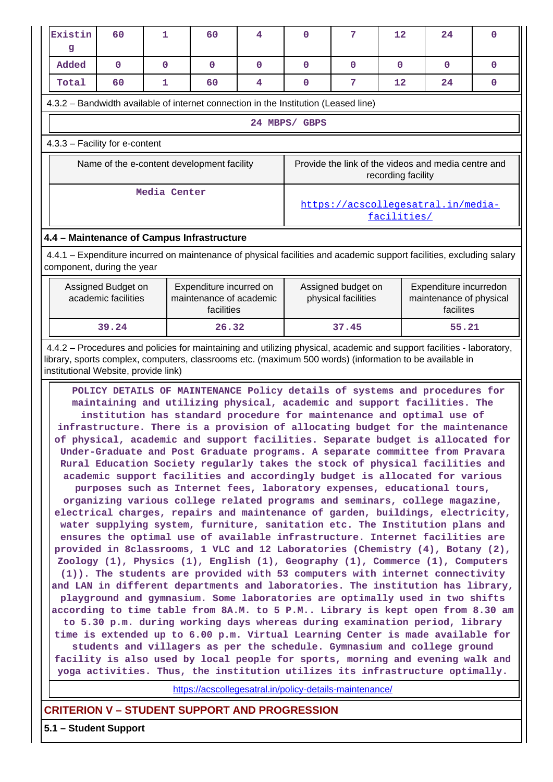| Existin<br>g                                                                                                                                                                                                                                                                                                                                                                                                                                                                                                                                                                                                                                                                                                                                                                                                                                                                                                                                                                                                                                                                                                                                                                                                                                                                                                                                                                                                                                                                                                                                                                                                                                                                                                                                                                                                                                                                                                                                                                         | 60                                                                | $\mathbf{1}$ | 60                                         | 4 | $\mathbf{O}$                                            | 7                                         | $12 \overline{ }$  | 24                                                             | $\mathbf 0$  |  |  |
|--------------------------------------------------------------------------------------------------------------------------------------------------------------------------------------------------------------------------------------------------------------------------------------------------------------------------------------------------------------------------------------------------------------------------------------------------------------------------------------------------------------------------------------------------------------------------------------------------------------------------------------------------------------------------------------------------------------------------------------------------------------------------------------------------------------------------------------------------------------------------------------------------------------------------------------------------------------------------------------------------------------------------------------------------------------------------------------------------------------------------------------------------------------------------------------------------------------------------------------------------------------------------------------------------------------------------------------------------------------------------------------------------------------------------------------------------------------------------------------------------------------------------------------------------------------------------------------------------------------------------------------------------------------------------------------------------------------------------------------------------------------------------------------------------------------------------------------------------------------------------------------------------------------------------------------------------------------------------------------|-------------------------------------------------------------------|--------------|--------------------------------------------|---|---------------------------------------------------------|-------------------------------------------|--------------------|----------------------------------------------------------------|--------------|--|--|
| Added                                                                                                                                                                                                                                                                                                                                                                                                                                                                                                                                                                                                                                                                                                                                                                                                                                                                                                                                                                                                                                                                                                                                                                                                                                                                                                                                                                                                                                                                                                                                                                                                                                                                                                                                                                                                                                                                                                                                                                                | $\mathbf 0$                                                       | $\mathbf{0}$ | $\mathbf{0}$                               | 0 | 0                                                       | $\mathbf{0}$                              | $\mathbf{0}$       | 0                                                              | $\mathbf{0}$ |  |  |
| Total                                                                                                                                                                                                                                                                                                                                                                                                                                                                                                                                                                                                                                                                                                                                                                                                                                                                                                                                                                                                                                                                                                                                                                                                                                                                                                                                                                                                                                                                                                                                                                                                                                                                                                                                                                                                                                                                                                                                                                                | 60                                                                | 1            | 60                                         | 4 | 0                                                       | 7                                         | 12                 | 24                                                             | 0            |  |  |
| 4.3.2 – Bandwidth available of internet connection in the Institution (Leased line)                                                                                                                                                                                                                                                                                                                                                                                                                                                                                                                                                                                                                                                                                                                                                                                                                                                                                                                                                                                                                                                                                                                                                                                                                                                                                                                                                                                                                                                                                                                                                                                                                                                                                                                                                                                                                                                                                                  |                                                                   |              |                                            |   |                                                         |                                           |                    |                                                                |              |  |  |
|                                                                                                                                                                                                                                                                                                                                                                                                                                                                                                                                                                                                                                                                                                                                                                                                                                                                                                                                                                                                                                                                                                                                                                                                                                                                                                                                                                                                                                                                                                                                                                                                                                                                                                                                                                                                                                                                                                                                                                                      |                                                                   |              |                                            |   | 24 MBPS/ GBPS                                           |                                           |                    |                                                                |              |  |  |
|                                                                                                                                                                                                                                                                                                                                                                                                                                                                                                                                                                                                                                                                                                                                                                                                                                                                                                                                                                                                                                                                                                                                                                                                                                                                                                                                                                                                                                                                                                                                                                                                                                                                                                                                                                                                                                                                                                                                                                                      |                                                                   |              |                                            |   |                                                         |                                           |                    |                                                                |              |  |  |
| 4.3.3 - Facility for e-content                                                                                                                                                                                                                                                                                                                                                                                                                                                                                                                                                                                                                                                                                                                                                                                                                                                                                                                                                                                                                                                                                                                                                                                                                                                                                                                                                                                                                                                                                                                                                                                                                                                                                                                                                                                                                                                                                                                                                       |                                                                   |              |                                            |   |                                                         |                                           |                    |                                                                |              |  |  |
|                                                                                                                                                                                                                                                                                                                                                                                                                                                                                                                                                                                                                                                                                                                                                                                                                                                                                                                                                                                                                                                                                                                                                                                                                                                                                                                                                                                                                                                                                                                                                                                                                                                                                                                                                                                                                                                                                                                                                                                      |                                                                   |              | Name of the e-content development facility |   |                                                         |                                           | recording facility | Provide the link of the videos and media centre and            |              |  |  |
|                                                                                                                                                                                                                                                                                                                                                                                                                                                                                                                                                                                                                                                                                                                                                                                                                                                                                                                                                                                                                                                                                                                                                                                                                                                                                                                                                                                                                                                                                                                                                                                                                                                                                                                                                                                                                                                                                                                                                                                      | Media Center<br>https://acscollegesatral.in/media-<br>facilities/ |              |                                            |   |                                                         |                                           |                    |                                                                |              |  |  |
|                                                                                                                                                                                                                                                                                                                                                                                                                                                                                                                                                                                                                                                                                                                                                                                                                                                                                                                                                                                                                                                                                                                                                                                                                                                                                                                                                                                                                                                                                                                                                                                                                                                                                                                                                                                                                                                                                                                                                                                      | 4.4 - Maintenance of Campus Infrastructure                        |              |                                            |   |                                                         |                                           |                    |                                                                |              |  |  |
| 4.4.1 – Expenditure incurred on maintenance of physical facilities and academic support facilities, excluding salary<br>component, during the year                                                                                                                                                                                                                                                                                                                                                                                                                                                                                                                                                                                                                                                                                                                                                                                                                                                                                                                                                                                                                                                                                                                                                                                                                                                                                                                                                                                                                                                                                                                                                                                                                                                                                                                                                                                                                                   |                                                                   |              |                                            |   |                                                         |                                           |                    |                                                                |              |  |  |
| Assigned Budget on<br>Expenditure incurred on<br>academic facilities<br>maintenance of academic<br>facilities                                                                                                                                                                                                                                                                                                                                                                                                                                                                                                                                                                                                                                                                                                                                                                                                                                                                                                                                                                                                                                                                                                                                                                                                                                                                                                                                                                                                                                                                                                                                                                                                                                                                                                                                                                                                                                                                        |                                                                   |              |                                            |   |                                                         | Assigned budget on<br>physical facilities |                    | Expenditure incurredon<br>maintenance of physical<br>facilites |              |  |  |
|                                                                                                                                                                                                                                                                                                                                                                                                                                                                                                                                                                                                                                                                                                                                                                                                                                                                                                                                                                                                                                                                                                                                                                                                                                                                                                                                                                                                                                                                                                                                                                                                                                                                                                                                                                                                                                                                                                                                                                                      | 39.24                                                             |              | 26.32                                      |   | 37.45                                                   |                                           |                    | 55.21                                                          |              |  |  |
| 4.4.2 - Procedures and policies for maintaining and utilizing physical, academic and support facilities - laboratory,<br>library, sports complex, computers, classrooms etc. (maximum 500 words) (information to be available in<br>institutional Website, provide link)                                                                                                                                                                                                                                                                                                                                                                                                                                                                                                                                                                                                                                                                                                                                                                                                                                                                                                                                                                                                                                                                                                                                                                                                                                                                                                                                                                                                                                                                                                                                                                                                                                                                                                             |                                                                   |              |                                            |   |                                                         |                                           |                    |                                                                |              |  |  |
| POLICY DETAILS OF MAINTENANCE Policy details of systems and procedures for<br>maintaining and utilizing physical, academic and support facilities. The<br>institution has standard procedure for maintenance and optimal use of<br>infrastructure. There is a provision of allocating budget for the maintenance<br>of physical, academic and support facilities. Separate budget is allocated for<br>Under-Graduate and Post Graduate programs. A separate committee from Pravara<br>Rural Education Society regularly takes the stock of physical facilities and<br>academic support facilities and accordingly budget is allocated for various<br>purposes such as Internet fees, laboratory expenses, educational tours,<br>organizing various college related programs and seminars, college magazine,<br>electrical charges, repairs and maintenance of garden, buildings, electricity,<br>water supplying system, furniture, sanitation etc. The Institution plans and<br>ensures the optimal use of available infrastructure. Internet facilities are<br>provided in 8classrooms, 1 VLC and 12 Laboratories (Chemistry (4), Botany (2),<br>Zoology (1), Physics (1), English (1), Geography (1), Commerce (1), Computers<br>(1)). The students are provided with 53 computers with internet connectivity<br>and LAN in different departments and laboratories. The institution has library,<br>playground and gymnasium. Some laboratories are optimally used in two shifts<br>according to time table from 8A.M. to 5 P.M Library is kept open from 8.30 am<br>to 5.30 p.m. during working days whereas during examination period, library<br>time is extended up to 6.00 p.m. Virtual Learning Center is made available for<br>students and villagers as per the schedule. Gymnasium and college ground<br>facility is also used by local people for sports, morning and evening walk and<br>yoga activities. Thus, the institution utilizes its infrastructure optimally. |                                                                   |              |                                            |   |                                                         |                                           |                    |                                                                |              |  |  |
|                                                                                                                                                                                                                                                                                                                                                                                                                                                                                                                                                                                                                                                                                                                                                                                                                                                                                                                                                                                                                                                                                                                                                                                                                                                                                                                                                                                                                                                                                                                                                                                                                                                                                                                                                                                                                                                                                                                                                                                      |                                                                   |              |                                            |   | https://acscollegesatral.in/policy-details-maintenance/ |                                           |                    |                                                                |              |  |  |
|                                                                                                                                                                                                                                                                                                                                                                                                                                                                                                                                                                                                                                                                                                                                                                                                                                                                                                                                                                                                                                                                                                                                                                                                                                                                                                                                                                                                                                                                                                                                                                                                                                                                                                                                                                                                                                                                                                                                                                                      |                                                                   |              |                                            |   |                                                         |                                           |                    |                                                                |              |  |  |

# **CRITERION V – STUDENT SUPPORT AND PROGRESSION**

**5.1 – Student Support**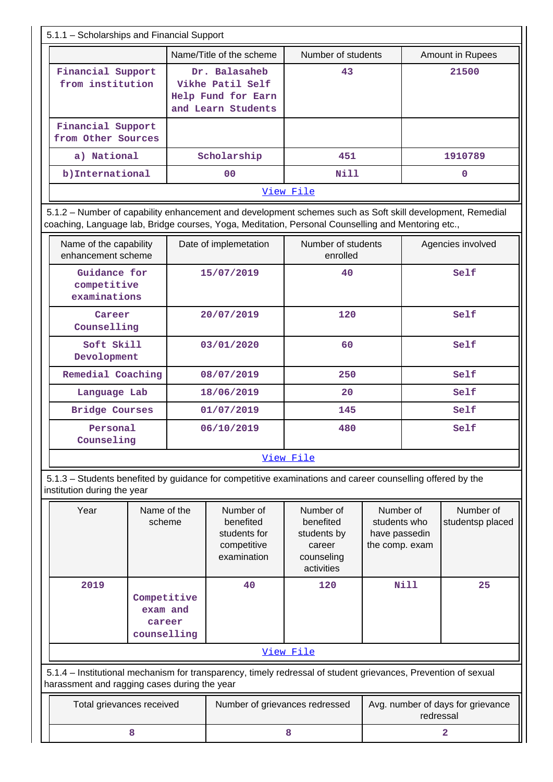| 5.1.1 - Scholarships and Financial Support                                                                                                                                                                      |                                                                               |                                |                         |  |  |  |  |  |  |
|-----------------------------------------------------------------------------------------------------------------------------------------------------------------------------------------------------------------|-------------------------------------------------------------------------------|--------------------------------|-------------------------|--|--|--|--|--|--|
|                                                                                                                                                                                                                 | Name/Title of the scheme                                                      | Number of students             | <b>Amount in Rupees</b> |  |  |  |  |  |  |
| Financial Support<br>from institution                                                                                                                                                                           | Dr. Balasaheb<br>Vikhe Patil Self<br>Help Fund for Earn<br>and Learn Students | 43                             | 21500                   |  |  |  |  |  |  |
| Financial Support<br>from Other Sources                                                                                                                                                                         |                                                                               |                                |                         |  |  |  |  |  |  |
| a) National                                                                                                                                                                                                     | Scholarship                                                                   | 451                            | 1910789                 |  |  |  |  |  |  |
| b) International                                                                                                                                                                                                | 0 <sup>0</sup>                                                                | Nill                           | 0                       |  |  |  |  |  |  |
|                                                                                                                                                                                                                 |                                                                               | View File                      |                         |  |  |  |  |  |  |
| 5.1.2 - Number of capability enhancement and development schemes such as Soft skill development, Remedial<br>coaching, Language lab, Bridge courses, Yoga, Meditation, Personal Counselling and Mentoring etc., |                                                                               |                                |                         |  |  |  |  |  |  |
| Name of the capability<br>enhancement scheme                                                                                                                                                                    | Date of implemetation                                                         | Number of students<br>enrolled | Agencies involved       |  |  |  |  |  |  |
| $\sin i$ dange for                                                                                                                                                                                              | 15/07/2010                                                                    | $\Lambda$ $\Lambda$            | $CA^T$                  |  |  |  |  |  |  |

| Guidance for<br>competitive<br>examinations | 15/07/2019 | 40  | Self |  |  |  |  |
|---------------------------------------------|------------|-----|------|--|--|--|--|
| Career<br>Counselling                       | 20/07/2019 | 120 | Self |  |  |  |  |
| Soft Skill<br>Devolopment                   | 03/01/2020 | 60  | Self |  |  |  |  |
| Remedial Coaching                           | 08/07/2019 | 250 | Self |  |  |  |  |
| Language Lab                                | 18/06/2019 | 20  | Self |  |  |  |  |
| <b>Bridge Courses</b>                       | 01/07/2019 | 145 | Self |  |  |  |  |
| Personal<br>Counseling                      | 06/10/2019 | 480 | Self |  |  |  |  |
| View File                                   |            |     |      |  |  |  |  |

 5.1.3 – Students benefited by guidance for competitive examinations and career counselling offered by the institution during the year

| Year                                                                                                                                                           | Name of the<br>scheme                            | Number of<br>benefited<br>students for<br>competitive<br>examination | Number of<br>benefited<br>students by<br>career<br>counseling<br>activities | Number of<br>students who<br>have passedin<br>the comp. exam | Number of<br>studentsp placed |  |  |  |  |
|----------------------------------------------------------------------------------------------------------------------------------------------------------------|--------------------------------------------------|----------------------------------------------------------------------|-----------------------------------------------------------------------------|--------------------------------------------------------------|-------------------------------|--|--|--|--|
| 2019                                                                                                                                                           | Competitive<br>exam and<br>career<br>counselling | 40                                                                   | 120                                                                         | Nill                                                         | 25                            |  |  |  |  |
|                                                                                                                                                                |                                                  |                                                                      | View File                                                                   |                                                              |                               |  |  |  |  |
| 5.1.4 – Institutional mechanism for transparency, timely redressal of student grievances, Prevention of sexual<br>harassment and ragging cases during the year |                                                  |                                                                      |                                                                             |                                                              |                               |  |  |  |  |
| Total grievances received                                                                                                                                      |                                                  | Number of grievances redressed                                       |                                                                             | Avg. number of days for grievance<br>redressal               |                               |  |  |  |  |

**8 8 1 8 1 1 2**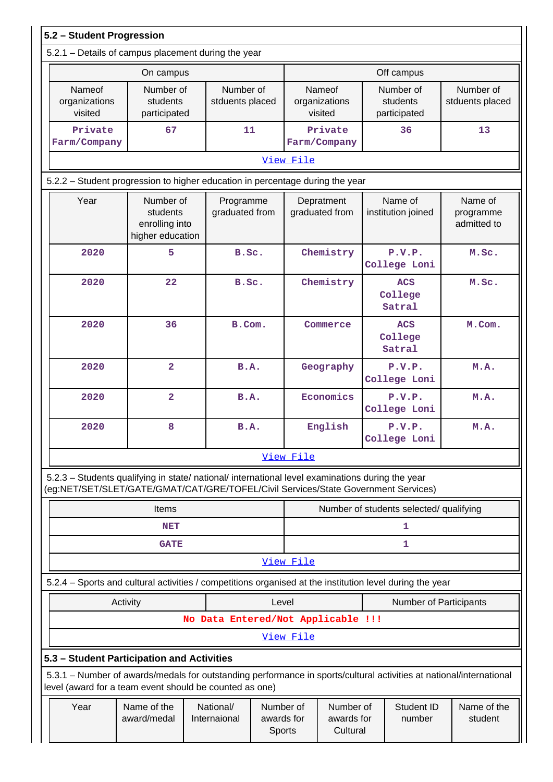| 5.2 - Student Progression                                                                                                                                                              |                                                             |                                    |                                   |                                           |                                             |                                       |                                         |                                     |  |  |  |
|----------------------------------------------------------------------------------------------------------------------------------------------------------------------------------------|-------------------------------------------------------------|------------------------------------|-----------------------------------|-------------------------------------------|---------------------------------------------|---------------------------------------|-----------------------------------------|-------------------------------------|--|--|--|
| 5.2.1 - Details of campus placement during the year                                                                                                                                    |                                                             |                                    |                                   |                                           |                                             |                                       |                                         |                                     |  |  |  |
| On campus                                                                                                                                                                              |                                                             |                                    |                                   |                                           | Off campus                                  |                                       |                                         |                                     |  |  |  |
| Nameof<br>organizations<br>visited                                                                                                                                                     | Number of<br>students<br>participated                       | Number of<br>stduents placed       |                                   | <b>Nameof</b><br>organizations<br>visited |                                             | Number of<br>students<br>participated | Number of<br>stduents placed            |                                     |  |  |  |
| Private<br>Farm/Company                                                                                                                                                                | 67                                                          | 11                                 |                                   |                                           | Private<br>Farm/Company                     |                                       | 36                                      | 13                                  |  |  |  |
| View File                                                                                                                                                                              |                                                             |                                    |                                   |                                           |                                             |                                       |                                         |                                     |  |  |  |
| 5.2.2 - Student progression to higher education in percentage during the year                                                                                                          |                                                             |                                    |                                   |                                           |                                             |                                       |                                         |                                     |  |  |  |
| Year                                                                                                                                                                                   | Number of<br>students<br>enrolling into<br>higher education | Programme<br>graduated from        |                                   |                                           | Depratment<br>graduated from                |                                       | Name of<br>institution joined           | Name of<br>programme<br>admitted to |  |  |  |
| 2020                                                                                                                                                                                   | 5                                                           | B.Sc.                              |                                   |                                           | Chemistry                                   |                                       | P.V.P.<br>College Loni                  | M.Sc.                               |  |  |  |
| 2020                                                                                                                                                                                   | 22<br>B.Sc.                                                 |                                    |                                   |                                           | Chemistry                                   |                                       | <b>ACS</b><br>College<br>Satral         | M.Sc.                               |  |  |  |
| 2020                                                                                                                                                                                   | 36                                                          | B.Com.                             |                                   |                                           | Commerce<br><b>ACS</b><br>College<br>Satral |                                       |                                         | M.Com.                              |  |  |  |
| 2020                                                                                                                                                                                   | $\overline{a}$                                              | B.A.                               |                                   |                                           | Geography                                   |                                       | P.V.P.<br>College Loni                  | M.A.                                |  |  |  |
| 2020                                                                                                                                                                                   | $\overline{2}$                                              | B.A.                               |                                   |                                           | Economics<br>College Loni                   |                                       | P.V.P.                                  | M.A.                                |  |  |  |
| 2020                                                                                                                                                                                   | 8                                                           | B.A.                               |                                   |                                           | English                                     |                                       | P.V.P.<br>College Loni                  | M.A.                                |  |  |  |
|                                                                                                                                                                                        |                                                             |                                    |                                   | <u>View File</u>                          |                                             |                                       |                                         |                                     |  |  |  |
| 5.2.3 - Students qualifying in state/ national/ international level examinations during the year<br>(eg:NET/SET/SLET/GATE/GMAT/CAT/GRE/TOFEL/Civil Services/State Government Services) |                                                             |                                    |                                   |                                           |                                             |                                       |                                         |                                     |  |  |  |
|                                                                                                                                                                                        | <b>Items</b>                                                |                                    |                                   |                                           |                                             |                                       | Number of students selected/ qualifying |                                     |  |  |  |
|                                                                                                                                                                                        | <b>NET</b>                                                  |                                    |                                   |                                           |                                             |                                       | 1                                       |                                     |  |  |  |
|                                                                                                                                                                                        | <b>GATE</b>                                                 |                                    |                                   |                                           |                                             |                                       | 1                                       |                                     |  |  |  |
|                                                                                                                                                                                        |                                                             |                                    |                                   | View File                                 |                                             |                                       |                                         |                                     |  |  |  |
| 5.2.4 – Sports and cultural activities / competitions organised at the institution level during the year                                                                               |                                                             |                                    |                                   |                                           |                                             |                                       |                                         |                                     |  |  |  |
|                                                                                                                                                                                        | Activity                                                    |                                    | Level                             |                                           |                                             |                                       | <b>Number of Participants</b>           |                                     |  |  |  |
|                                                                                                                                                                                        |                                                             | No Data Entered/Not Applicable !!! |                                   |                                           |                                             |                                       |                                         |                                     |  |  |  |
|                                                                                                                                                                                        |                                                             |                                    |                                   | View File                                 |                                             |                                       |                                         |                                     |  |  |  |
| 5.3 - Student Participation and Activities                                                                                                                                             |                                                             |                                    |                                   |                                           |                                             |                                       |                                         |                                     |  |  |  |
| 5.3.1 - Number of awards/medals for outstanding performance in sports/cultural activities at national/international<br>level (award for a team event should be counted as one)         |                                                             |                                    |                                   |                                           |                                             |                                       |                                         |                                     |  |  |  |
| Year                                                                                                                                                                                   | Name of the<br>award/medal                                  | National/<br>Internaional          | Number of<br>awards for<br>Sports |                                           | Number of<br>awards for<br>Cultural         |                                       | Student ID<br>number                    | Name of the<br>student              |  |  |  |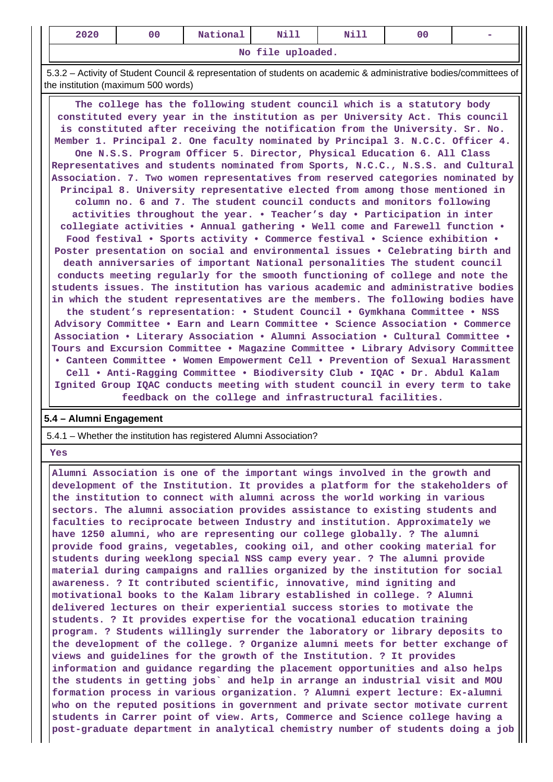| 2020 | 00 | <b>TARGET AT</b><br>National | M <sup>2</sup><br>---- | Nill | uu |  |
|------|----|------------------------------|------------------------|------|----|--|
|      |    |                              |                        |      |    |  |

**No file uploaded.**

 5.3.2 – Activity of Student Council & representation of students on academic & administrative bodies/committees of the institution (maximum 500 words)

 **The college has the following student council which is a statutory body constituted every year in the institution as per University Act. This council is constituted after receiving the notification from the University. Sr. No. Member 1. Principal 2. One faculty nominated by Principal 3. N.C.C. Officer 4. One N.S.S. Program Officer 5. Director, Physical Education 6. All Class Representatives and students nominated from Sports, N.C.C., N.S.S. and Cultural Association. 7. Two women representatives from reserved categories nominated by Principal 8. University representative elected from among those mentioned in column no. 6 and 7. The student council conducts and monitors following activities throughout the year. • Teacher's day • Participation in inter collegiate activities • Annual gathering • Well come and Farewell function • Food festival • Sports activity • Commerce festival • Science exhibition • Poster presentation on social and environmental issues • Celebrating birth and death anniversaries of important National personalities The student council conducts meeting regularly for the smooth functioning of college and note the students issues. The institution has various academic and administrative bodies in which the student representatives are the members. The following bodies have the student's representation: • Student Council • Gymkhana Committee • NSS Advisory Committee • Earn and Learn Committee • Science Association • Commerce Association • Literary Association • Alumni Association • Cultural Committee • Tours and Excursion Committee • Magazine Committee • Library Advisory Committee • Canteen Committee • Women Empowerment Cell • Prevention of Sexual Harassment Cell • Anti-Ragging Committee • Biodiversity Club • IQAC • Dr. Abdul Kalam Ignited Group IQAC conducts meeting with student council in every term to take feedback on the college and infrastructural facilities.**

### **5.4 – Alumni Engagement**

5.4.1 – Whether the institution has registered Alumni Association?

 **Yes**

 **Alumni Association is one of the important wings involved in the growth and development of the Institution. It provides a platform for the stakeholders of the institution to connect with alumni across the world working in various sectors. The alumni association provides assistance to existing students and faculties to reciprocate between Industry and institution. Approximately we have 1250 alumni, who are representing our college globally. ? The alumni provide food grains, vegetables, cooking oil, and other cooking material for students during weeklong special NSS camp every year. ? The alumni provide material during campaigns and rallies organized by the institution for social awareness. ? It contributed scientific, innovative, mind igniting and motivational books to the Kalam library established in college. ? Alumni delivered lectures on their experiential success stories to motivate the students. ? It provides expertise for the vocational education training program. ? Students willingly surrender the laboratory or library deposits to the development of the college. ? Organize alumni meets for better exchange of views and guidelines for the growth of the Institution. ? It provides information and guidance regarding the placement opportunities and also helps the students in getting jobs` and help in arrange an industrial visit and MOU formation process in various organization. ? Alumni expert lecture: Ex-alumni who on the reputed positions in government and private sector motivate current students in Carrer point of view. Arts, Commerce and Science college having a post-graduate department in analytical chemistry number of students doing a job**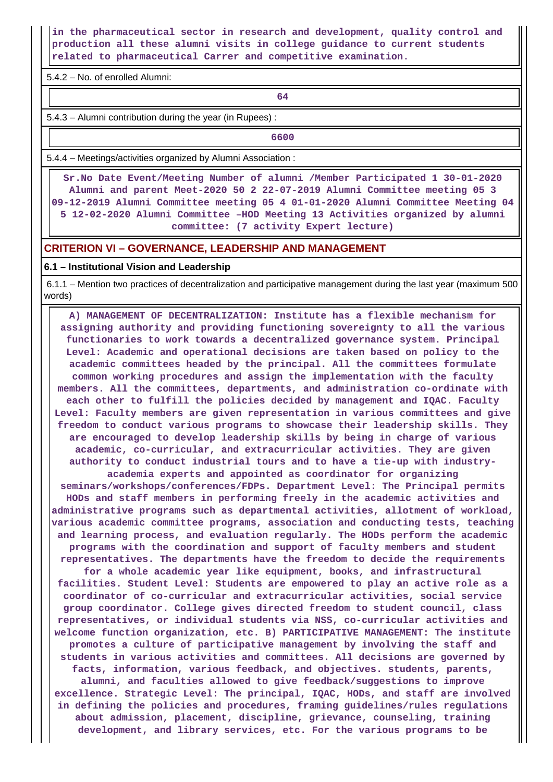**in the pharmaceutical sector in research and development, quality control and production all these alumni visits in college guidance to current students related to pharmaceutical Carrer and competitive examination.**

5.4.2 – No. of enrolled Alumni:

**64**

5.4.3 – Alumni contribution during the year (in Rupees) :

**6600** 

5.4.4 – Meetings/activities organized by Alumni Association :

 **Sr.No Date Event/Meeting Number of alumni /Member Participated 1 30-01-2020 Alumni and parent Meet-2020 50 2 22-07-2019 Alumni Committee meeting 05 3 09-12-2019 Alumni Committee meeting 05 4 01-01-2020 Alumni Committee Meeting 04 5 12-02-2020 Alumni Committee –HOD Meeting 13 Activities organized by alumni committee: (7 activity Expert lecture)**

### **CRITERION VI – GOVERNANCE, LEADERSHIP AND MANAGEMENT**

#### **6.1 – Institutional Vision and Leadership**

 6.1.1 – Mention two practices of decentralization and participative management during the last year (maximum 500 words)

 **A) MANAGEMENT OF DECENTRALIZATION: Institute has a flexible mechanism for assigning authority and providing functioning sovereignty to all the various functionaries to work towards a decentralized governance system. Principal Level: Academic and operational decisions are taken based on policy to the academic committees headed by the principal. All the committees formulate common working procedures and assign the implementation with the faculty members. All the committees, departments, and administration co-ordinate with each other to fulfill the policies decided by management and IQAC. Faculty Level: Faculty members are given representation in various committees and give freedom to conduct various programs to showcase their leadership skills. They are encouraged to develop leadership skills by being in charge of various academic, co-curricular, and extracurricular activities. They are given authority to conduct industrial tours and to have a tie-up with industryacademia experts and appointed as coordinator for organizing seminars/workshops/conferences/FDPs. Department Level: The Principal permits HODs and staff members in performing freely in the academic activities and administrative programs such as departmental activities, allotment of workload, various academic committee programs, association and conducting tests, teaching and learning process, and evaluation regularly. The HODs perform the academic programs with the coordination and support of faculty members and student representatives. The departments have the freedom to decide the requirements for a whole academic year like equipment, books, and infrastructural facilities. Student Level: Students are empowered to play an active role as a coordinator of co-curricular and extracurricular activities, social service group coordinator. College gives directed freedom to student council, class representatives, or individual students via NSS, co-curricular activities and welcome function organization, etc. B) PARTICIPATIVE MANAGEMENT: The institute promotes a culture of participative management by involving the staff and students in various activities and committees. All decisions are governed by facts, information, various feedback, and objectives. students, parents, alumni, and faculties allowed to give feedback/suggestions to improve excellence. Strategic Level: The principal, IQAC, HODs, and staff are involved in defining the policies and procedures, framing guidelines/rules regulations about admission, placement, discipline, grievance, counseling, training development, and library services, etc. For the various programs to be**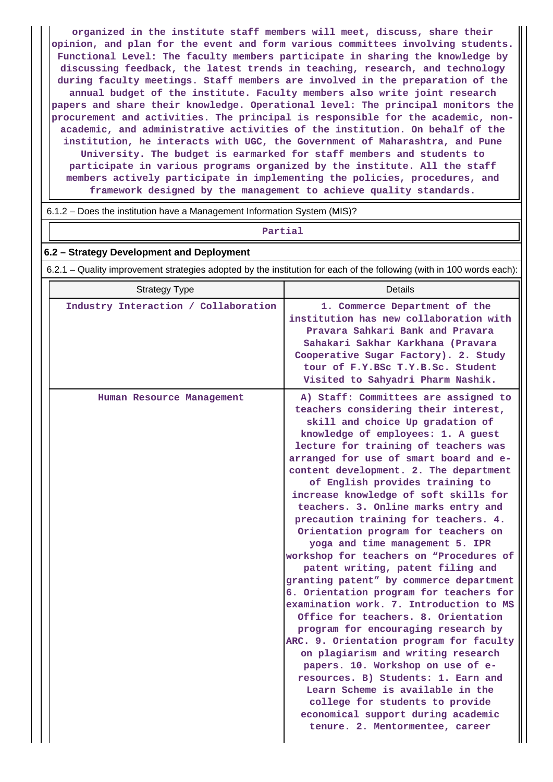**organized in the institute staff members will meet, discuss, share their opinion, and plan for the event and form various committees involving students. Functional Level: The faculty members participate in sharing the knowledge by discussing feedback, the latest trends in teaching, research, and technology during faculty meetings. Staff members are involved in the preparation of the annual budget of the institute. Faculty members also write joint research papers and share their knowledge. Operational level: The principal monitors the procurement and activities. The principal is responsible for the academic, nonacademic, and administrative activities of the institution. On behalf of the institution, he interacts with UGC, the Government of Maharashtra, and Pune University. The budget is earmarked for staff members and students to participate in various programs organized by the institute. All the staff members actively participate in implementing the policies, procedures, and framework designed by the management to achieve quality standards.**

6.1.2 – Does the institution have a Management Information System (MIS)?

# **Partial**

#### **6.2 – Strategy Development and Deployment**

6.2.1 – Quality improvement strategies adopted by the institution for each of the following (with in 100 words each):

| <b>Strategy Type</b>                 | Details                                                                                                                                                                                                                                                                                                                                                                                                                                                                                                                                                                                                                                                                                                                                                                                                                                                                                                                                                                                                                                                                                                                             |
|--------------------------------------|-------------------------------------------------------------------------------------------------------------------------------------------------------------------------------------------------------------------------------------------------------------------------------------------------------------------------------------------------------------------------------------------------------------------------------------------------------------------------------------------------------------------------------------------------------------------------------------------------------------------------------------------------------------------------------------------------------------------------------------------------------------------------------------------------------------------------------------------------------------------------------------------------------------------------------------------------------------------------------------------------------------------------------------------------------------------------------------------------------------------------------------|
| Industry Interaction / Collaboration | 1. Commerce Department of the<br>institution has new collaboration with<br>Pravara Sahkari Bank and Pravara<br>Sahakari Sakhar Karkhana (Pravara<br>Cooperative Sugar Factory). 2. Study<br>tour of F.Y.BSc T.Y.B.Sc. Student<br>Visited to Sahyadri Pharm Nashik.                                                                                                                                                                                                                                                                                                                                                                                                                                                                                                                                                                                                                                                                                                                                                                                                                                                                  |
| Human Resource Management            | A) Staff: Committees are assigned to<br>teachers considering their interest,<br>skill and choice Up gradation of<br>knowledge of employees: 1. A guest<br>lecture for training of teachers was<br>arranged for use of smart board and e-<br>content development. 2. The department<br>of English provides training to<br>increase knowledge of soft skills for<br>teachers. 3. Online marks entry and<br>precaution training for teachers. 4.<br>Orientation program for teachers on<br>yoga and time management 5. IPR<br>workshop for teachers on "Procedures of<br>patent writing, patent filing and<br>granting patent" by commerce department<br>6. Orientation program for teachers for<br>examination work. 7. Introduction to MS<br>Office for teachers. 8. Orientation<br>program for encouraging research by<br>ARC. 9. Orientation program for faculty<br>on plagiarism and writing research<br>papers. 10. Workshop on use of e-<br>resources. B) Students: 1. Earn and<br>Learn Scheme is available in the<br>college for students to provide<br>economical support during academic<br>tenure. 2. Mentormentee, career |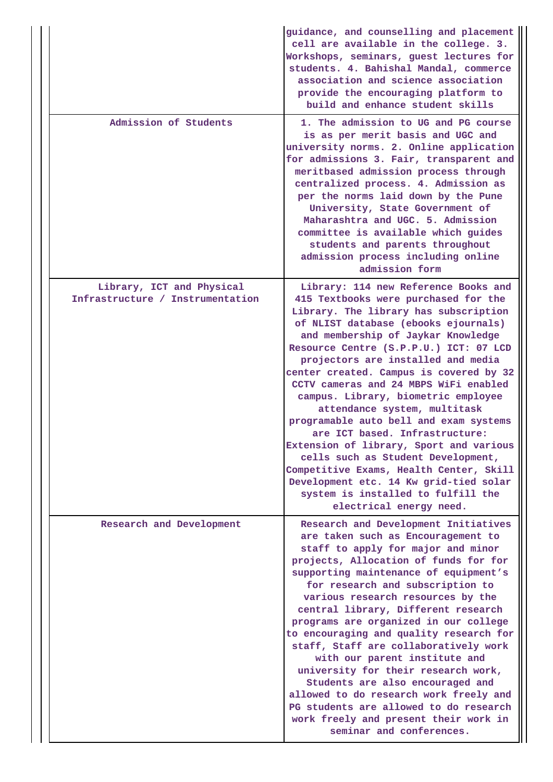|                                                               | guidance, and counselling and placement<br>cell are available in the college. 3.<br>Workshops, seminars, guest lectures for<br>students. 4. Bahishal Mandal, commerce<br>association and science association<br>provide the encouraging platform to<br>build and enhance student skills                                                                                                                                                                                                                                                                                                                                                                                                                                                                           |
|---------------------------------------------------------------|-------------------------------------------------------------------------------------------------------------------------------------------------------------------------------------------------------------------------------------------------------------------------------------------------------------------------------------------------------------------------------------------------------------------------------------------------------------------------------------------------------------------------------------------------------------------------------------------------------------------------------------------------------------------------------------------------------------------------------------------------------------------|
| Admission of Students                                         | 1. The admission to UG and PG course<br>is as per merit basis and UGC and<br>university norms. 2. Online application<br>for admissions 3. Fair, transparent and<br>meritbased admission process through<br>centralized process. 4. Admission as<br>per the norms laid down by the Pune<br>University, State Government of<br>Maharashtra and UGC. 5. Admission<br>committee is available which guides<br>students and parents throughout<br>admission process including online<br>admission form                                                                                                                                                                                                                                                                  |
| Library, ICT and Physical<br>Infrastructure / Instrumentation | Library: 114 new Reference Books and<br>415 Textbooks were purchased for the<br>Library. The library has subscription<br>of NLIST database (ebooks ejournals)<br>and membership of Jaykar Knowledge<br>Resource Centre (S.P.P.U.) ICT: 07 LCD<br>projectors are installed and media<br>center created. Campus is covered by 32<br>CCTV cameras and 24 MBPS WiFi enabled<br>campus. Library, biometric employee<br>attendance system, multitask<br>programable auto bell and exam systems<br>are ICT based. Infrastructure:<br>Extension of library, Sport and various<br>cells such as Student Development,<br>Competitive Exams, Health Center, Skill<br>Development etc. 14 Kw grid-tied solar<br>system is installed to fulfill the<br>electrical energy need. |
| Research and Development                                      | Research and Development Initiatives<br>are taken such as Encouragement to<br>staff to apply for major and minor<br>projects, Allocation of funds for for<br>supporting maintenance of equipment's<br>for research and subscription to<br>various research resources by the<br>central library, Different research<br>programs are organized in our college<br>to encouraging and quality research for<br>staff, Staff are collaboratively work<br>with our parent institute and<br>university for their research work,<br>Students are also encouraged and<br>allowed to do research work freely and<br>PG students are allowed to do research<br>work freely and present their work in<br>seminar and conferences.                                              |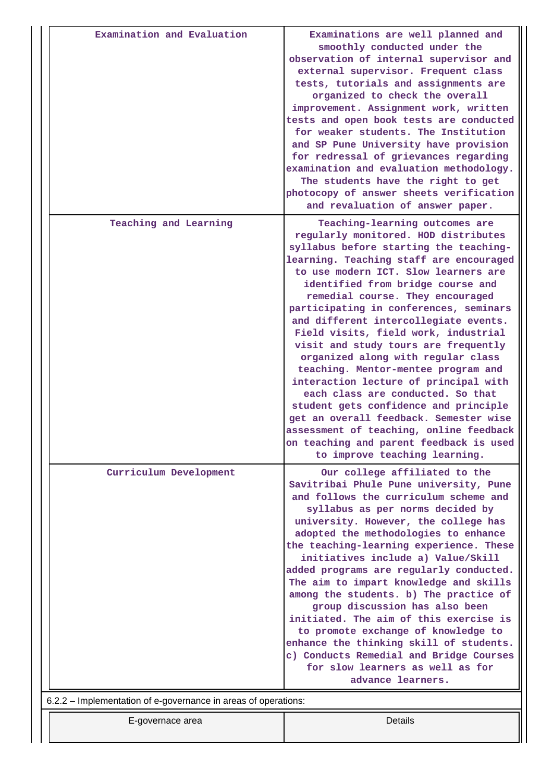| Examination and Evaluation                                                         | Examinations are well planned and<br>smoothly conducted under the<br>observation of internal supervisor and<br>external supervisor. Frequent class<br>tests, tutorials and assignments are<br>organized to check the overall<br>improvement. Assignment work, written<br>tests and open book tests are conducted<br>for weaker students. The Institution<br>and SP Pune University have provision<br>for redressal of grievances regarding<br>examination and evaluation methodology.<br>The students have the right to get<br>photocopy of answer sheets verification<br>and revaluation of answer paper.                                                                                                                                                                                                           |
|------------------------------------------------------------------------------------|----------------------------------------------------------------------------------------------------------------------------------------------------------------------------------------------------------------------------------------------------------------------------------------------------------------------------------------------------------------------------------------------------------------------------------------------------------------------------------------------------------------------------------------------------------------------------------------------------------------------------------------------------------------------------------------------------------------------------------------------------------------------------------------------------------------------|
| Teaching and Learning                                                              | Teaching-learning outcomes are<br>regularly monitored. HOD distributes<br>syllabus before starting the teaching-<br>learning. Teaching staff are encouraged<br>to use modern ICT. Slow learners are<br>identified from bridge course and<br>remedial course. They encouraged<br>participating in conferences, seminars<br>and different intercollegiate events.<br>Field visits, field work, industrial<br>visit and study tours are frequently<br>organized along with regular class<br>teaching. Mentor-mentee program and<br>interaction lecture of principal with<br>each class are conducted. So that<br>student gets confidence and principle<br>get an overall feedback. Semester wise<br>assessment of teaching, online feedback<br>on teaching and parent feedback is used<br>to improve teaching learning. |
| Curriculum Development                                                             | Our college affiliated to the<br>Savitribai Phule Pune university, Pune<br>and follows the curriculum scheme and<br>syllabus as per norms decided by<br>university. However, the college has<br>adopted the methodologies to enhance<br>the teaching-learning experience. These<br>initiatives include a) Value/Skill<br>added programs are regularly conducted.<br>The aim to impart knowledge and skills<br>among the students. b) The practice of<br>group discussion has also been<br>initiated. The aim of this exercise is<br>to promote exchange of knowledge to<br>enhance the thinking skill of students.<br>c) Conducts Remedial and Bridge Courses<br>for slow learners as well as for<br>advance learners.                                                                                               |
| 6.2.2 – Implementation of e-governance in areas of operations:<br>E-governace area | Details                                                                                                                                                                                                                                                                                                                                                                                                                                                                                                                                                                                                                                                                                                                                                                                                              |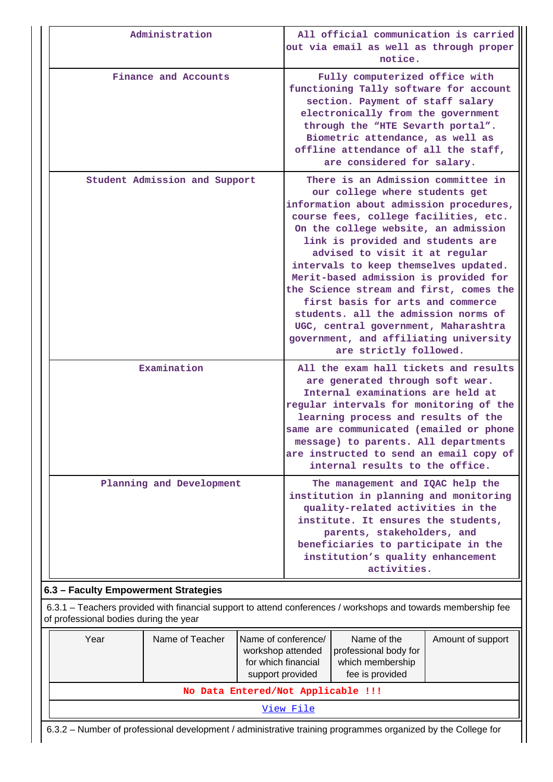| Administration                       | All official communication is carried<br>out via email as well as through proper<br>notice.                                                                                                                                                                                                                                                                                                                                                                                                                                                                                                   |
|--------------------------------------|-----------------------------------------------------------------------------------------------------------------------------------------------------------------------------------------------------------------------------------------------------------------------------------------------------------------------------------------------------------------------------------------------------------------------------------------------------------------------------------------------------------------------------------------------------------------------------------------------|
| Finance and Accounts                 | Fully computerized office with<br>functioning Tally software for account<br>section. Payment of staff salary<br>electronically from the government<br>through the "HTE Sevarth portal".<br>Biometric attendance, as well as<br>offline attendance of all the staff,<br>are considered for salary.                                                                                                                                                                                                                                                                                             |
| Student Admission and Support        | There is an Admission committee in<br>our college where students get<br>information about admission procedures,<br>course fees, college facilities, etc.<br>On the college website, an admission<br>link is provided and students are<br>advised to visit it at regular<br>intervals to keep themselves updated.<br>Merit-based admission is provided for<br>the Science stream and first, comes the<br>first basis for arts and commerce<br>students. all the admission norms of<br>UGC, central government, Maharashtra<br>government, and affiliating university<br>are strictly followed. |
| Examination                          | All the exam hall tickets and results<br>are generated through soft wear.<br>Internal examinations are held at<br>regular intervals for monitoring of the<br>learning process and results of the<br>same are communicated (emailed or phone<br>message) to parents. All departments<br>are instructed to send an email copy of<br>internal results to the office.                                                                                                                                                                                                                             |
| Planning and Development             | The management and IQAC help the<br>institution in planning and monitoring<br>quality-related activities in the<br>institute. It ensures the students,<br>parents, stakeholders, and<br>beneficiaries to participate in the<br>institution's quality enhancement<br>activities.                                                                                                                                                                                                                                                                                                               |
| 6.3 - Faculty Empowerment Strategies |                                                                                                                                                                                                                                                                                                                                                                                                                                                                                                                                                                                               |
|                                      | 6.3.1 – Teachers provided with financial support to attend conferences / workshops and towards membership fee                                                                                                                                                                                                                                                                                                                                                                                                                                                                                 |

of professional bodies during the year

| Year                                                                                                         | Name of Teacher | Name of conference/<br>workshop attended<br>for which financial<br>support provided | Name of the<br>professional body for<br>which membership<br>fee is provided | Amount of support |  |  |  |  |  |
|--------------------------------------------------------------------------------------------------------------|-----------------|-------------------------------------------------------------------------------------|-----------------------------------------------------------------------------|-------------------|--|--|--|--|--|
|                                                                                                              |                 | No Data Entered/Not Applicable !!!                                                  |                                                                             |                   |  |  |  |  |  |
| View File                                                                                                    |                 |                                                                                     |                                                                             |                   |  |  |  |  |  |
| 6.3.2 – Number of professional development / administrative training programmes organized by the College for |                 |                                                                                     |                                                                             |                   |  |  |  |  |  |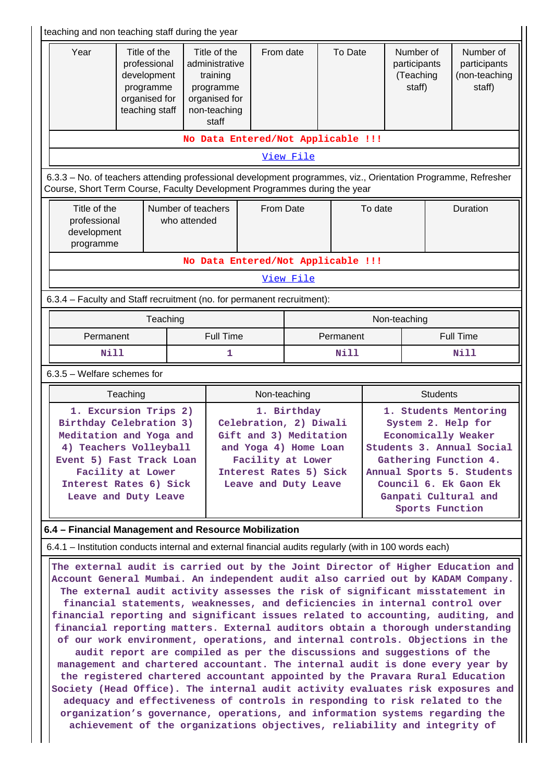|                                                                                                                                                                                                                                                                                                                                                                                                                          |             |                                                                                             | teaching and non teaching staff during the year                                                                                                                                                                                                                                                                                                                                                                                                                                                                                                                                                                                                           |                                                                                                                                                                 |           |           |                                                                                                                                                                                                                           |                                                  |                 |                                                      |
|--------------------------------------------------------------------------------------------------------------------------------------------------------------------------------------------------------------------------------------------------------------------------------------------------------------------------------------------------------------------------------------------------------------------------|-------------|---------------------------------------------------------------------------------------------|-----------------------------------------------------------------------------------------------------------------------------------------------------------------------------------------------------------------------------------------------------------------------------------------------------------------------------------------------------------------------------------------------------------------------------------------------------------------------------------------------------------------------------------------------------------------------------------------------------------------------------------------------------------|-----------------------------------------------------------------------------------------------------------------------------------------------------------------|-----------|-----------|---------------------------------------------------------------------------------------------------------------------------------------------------------------------------------------------------------------------------|--------------------------------------------------|-----------------|------------------------------------------------------|
| Year                                                                                                                                                                                                                                                                                                                                                                                                                     |             | Title of the<br>professional<br>development<br>programme<br>organised for<br>teaching staff | Title of the<br>administrative<br>training<br>programme<br>organised for<br>non-teaching<br>staff                                                                                                                                                                                                                                                                                                                                                                                                                                                                                                                                                         | From date                                                                                                                                                       |           | To Date   |                                                                                                                                                                                                                           | Number of<br>participants<br>(Teaching<br>staff) |                 | Number of<br>participants<br>(non-teaching<br>staff) |
|                                                                                                                                                                                                                                                                                                                                                                                                                          |             |                                                                                             | No Data Entered/Not Applicable !!!                                                                                                                                                                                                                                                                                                                                                                                                                                                                                                                                                                                                                        |                                                                                                                                                                 |           |           |                                                                                                                                                                                                                           |                                                  |                 |                                                      |
|                                                                                                                                                                                                                                                                                                                                                                                                                          |             |                                                                                             |                                                                                                                                                                                                                                                                                                                                                                                                                                                                                                                                                                                                                                                           |                                                                                                                                                                 | View File |           |                                                                                                                                                                                                                           |                                                  |                 |                                                      |
| 6.3.3 - No. of teachers attending professional development programmes, viz., Orientation Programme, Refresher<br>Course, Short Term Course, Faculty Development Programmes during the year                                                                                                                                                                                                                               |             |                                                                                             |                                                                                                                                                                                                                                                                                                                                                                                                                                                                                                                                                                                                                                                           |                                                                                                                                                                 |           |           |                                                                                                                                                                                                                           |                                                  |                 |                                                      |
| Title of the<br>Number of teachers<br>professional<br>who attended<br>development<br>programme                                                                                                                                                                                                                                                                                                                           |             |                                                                                             |                                                                                                                                                                                                                                                                                                                                                                                                                                                                                                                                                                                                                                                           | From Date                                                                                                                                                       |           |           | To date                                                                                                                                                                                                                   |                                                  | <b>Duration</b> |                                                      |
|                                                                                                                                                                                                                                                                                                                                                                                                                          |             |                                                                                             | No Data Entered/Not Applicable !!!                                                                                                                                                                                                                                                                                                                                                                                                                                                                                                                                                                                                                        |                                                                                                                                                                 |           |           |                                                                                                                                                                                                                           |                                                  |                 |                                                      |
|                                                                                                                                                                                                                                                                                                                                                                                                                          |             |                                                                                             |                                                                                                                                                                                                                                                                                                                                                                                                                                                                                                                                                                                                                                                           |                                                                                                                                                                 | View File |           |                                                                                                                                                                                                                           |                                                  |                 |                                                      |
| 6.3.4 - Faculty and Staff recruitment (no. for permanent recruitment):                                                                                                                                                                                                                                                                                                                                                   |             |                                                                                             |                                                                                                                                                                                                                                                                                                                                                                                                                                                                                                                                                                                                                                                           |                                                                                                                                                                 |           |           |                                                                                                                                                                                                                           |                                                  |                 |                                                      |
|                                                                                                                                                                                                                                                                                                                                                                                                                          |             | Teaching                                                                                    |                                                                                                                                                                                                                                                                                                                                                                                                                                                                                                                                                                                                                                                           |                                                                                                                                                                 |           |           |                                                                                                                                                                                                                           | Non-teaching                                     |                 |                                                      |
| Permanent                                                                                                                                                                                                                                                                                                                                                                                                                |             |                                                                                             |                                                                                                                                                                                                                                                                                                                                                                                                                                                                                                                                                                                                                                                           | Full Time                                                                                                                                                       |           | Permanent |                                                                                                                                                                                                                           | <b>Full Time</b>                                 |                 |                                                      |
|                                                                                                                                                                                                                                                                                                                                                                                                                          | <b>Nill</b> |                                                                                             | 1                                                                                                                                                                                                                                                                                                                                                                                                                                                                                                                                                                                                                                                         |                                                                                                                                                                 |           | Nill      |                                                                                                                                                                                                                           |                                                  |                 | <b>Nill</b>                                          |
| $6.3.5$ – Welfare schemes for                                                                                                                                                                                                                                                                                                                                                                                            |             |                                                                                             |                                                                                                                                                                                                                                                                                                                                                                                                                                                                                                                                                                                                                                                           |                                                                                                                                                                 |           |           |                                                                                                                                                                                                                           |                                                  |                 |                                                      |
|                                                                                                                                                                                                                                                                                                                                                                                                                          | Teaching    |                                                                                             |                                                                                                                                                                                                                                                                                                                                                                                                                                                                                                                                                                                                                                                           | Non-teaching                                                                                                                                                    |           |           |                                                                                                                                                                                                                           |                                                  | <b>Students</b> |                                                      |
| 1. Excursion Trips 2)<br>Birthday Celebration 3)<br>Meditation and Yoga and<br>4) Teachers Volleyball<br>Event 5) Fast Track Loan<br>Facility at Lower<br>Interest Rates 6) Sick<br>Leave and Duty Leave                                                                                                                                                                                                                 |             |                                                                                             |                                                                                                                                                                                                                                                                                                                                                                                                                                                                                                                                                                                                                                                           | 1. Birthday<br>Celebration, 2) Diwali<br>Gift and 3) Meditation<br>and Yoga 4) Home Loan<br>Facility at Lower<br>Interest Rates 5) Sick<br>Leave and Duty Leave |           |           | 1. Students Mentoring<br>System 2. Help for<br>Economically Weaker<br>Students 3. Annual Social<br>Gathering Function 4.<br>Annual Sports 5. Students<br>Council 6. Ek Gaon Ek<br>Ganpati Cultural and<br>Sports Function |                                                  |                 |                                                      |
| 6.4 – Financial Management and Resource Mobilization                                                                                                                                                                                                                                                                                                                                                                     |             |                                                                                             |                                                                                                                                                                                                                                                                                                                                                                                                                                                                                                                                                                                                                                                           |                                                                                                                                                                 |           |           |                                                                                                                                                                                                                           |                                                  |                 |                                                      |
| 6.4.1 – Institution conducts internal and external financial audits regularly (with in 100 words each)                                                                                                                                                                                                                                                                                                                   |             |                                                                                             |                                                                                                                                                                                                                                                                                                                                                                                                                                                                                                                                                                                                                                                           |                                                                                                                                                                 |           |           |                                                                                                                                                                                                                           |                                                  |                 |                                                      |
| The external audit is carried out by the Joint Director of Higher Education and<br>Account General Mumbai. An independent audit also carried out by KADAM Company.<br>financial reporting and significant issues related to accounting, auditing, and<br>Society (Head Office). The internal audit activity evaluates risk exposures and<br>organization's governance, operations, and information systems regarding the |             |                                                                                             | The external audit activity assesses the risk of significant misstatement in<br>financial statements, weaknesses, and deficiencies in internal control over<br>financial reporting matters. External auditors obtain a thorough understanding<br>of our work environment, operations, and internal controls. Objections in the<br>audit report are compiled as per the discussions and suggestions of the<br>management and chartered accountant. The internal audit is done every year by<br>the registered chartered accountant appointed by the Pravara Rural Education<br>adequacy and effectiveness of controls in responding to risk related to the |                                                                                                                                                                 |           |           |                                                                                                                                                                                                                           |                                                  |                 |                                                      |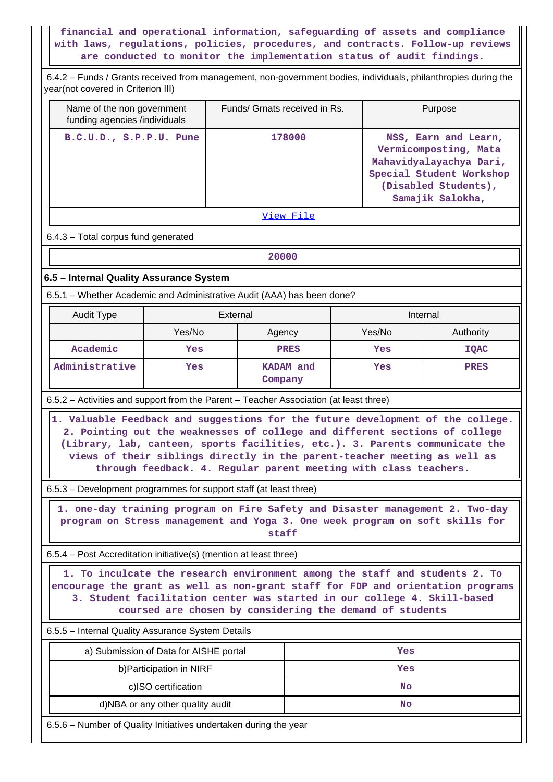# **financial and operational information, safeguarding of assets and compliance with laws, regulations, policies, procedures, and contracts. Follow-up reviews are conducted to monitor the implementation status of audit findings.**

| 6.4.2 – Funds / Grants received from management, non-government bodies, individuals, philanthropies during the<br>year(not covered in Criterion III)                                                                                                                                                                        |                                        |                                                                                                                                      |             |                                                                                                                                                  |           |             |  |  |  |
|-----------------------------------------------------------------------------------------------------------------------------------------------------------------------------------------------------------------------------------------------------------------------------------------------------------------------------|----------------------------------------|--------------------------------------------------------------------------------------------------------------------------------------|-------------|--------------------------------------------------------------------------------------------------------------------------------------------------|-----------|-------------|--|--|--|
| Name of the non government<br>funding agencies /individuals                                                                                                                                                                                                                                                                 |                                        | Funds/ Grnats received in Rs.                                                                                                        |             | Purpose                                                                                                                                          |           |             |  |  |  |
| B.C.U.D., S.P.P.U. Pune                                                                                                                                                                                                                                                                                                     |                                        | 178000                                                                                                                               |             | NSS, Earn and Learn,<br>Vermicomposting, Mata<br>Mahavidyalayachya Dari,<br>Special Student Workshop<br>(Disabled Students),<br>Samajik Salokha, |           |             |  |  |  |
| View File                                                                                                                                                                                                                                                                                                                   |                                        |                                                                                                                                      |             |                                                                                                                                                  |           |             |  |  |  |
| 6.4.3 - Total corpus fund generated                                                                                                                                                                                                                                                                                         |                                        |                                                                                                                                      |             |                                                                                                                                                  |           |             |  |  |  |
|                                                                                                                                                                                                                                                                                                                             |                                        | 20000                                                                                                                                |             |                                                                                                                                                  |           |             |  |  |  |
| 6.5 - Internal Quality Assurance System                                                                                                                                                                                                                                                                                     |                                        |                                                                                                                                      |             |                                                                                                                                                  |           |             |  |  |  |
| 6.5.1 – Whether Academic and Administrative Audit (AAA) has been done?                                                                                                                                                                                                                                                      |                                        |                                                                                                                                      |             |                                                                                                                                                  |           |             |  |  |  |
| Audit Type                                                                                                                                                                                                                                                                                                                  | External                               |                                                                                                                                      |             |                                                                                                                                                  | Internal  |             |  |  |  |
|                                                                                                                                                                                                                                                                                                                             | Yes/No                                 | Agency                                                                                                                               |             |                                                                                                                                                  | Yes/No    | Authority   |  |  |  |
| Academic                                                                                                                                                                                                                                                                                                                    | Yes                                    |                                                                                                                                      | <b>PRES</b> |                                                                                                                                                  | Yes       | <b>IQAC</b> |  |  |  |
| Administrative                                                                                                                                                                                                                                                                                                              | Yes                                    | Company                                                                                                                              | KADAM and   |                                                                                                                                                  | Yes       | <b>PRES</b> |  |  |  |
| 6.5.2 – Activities and support from the Parent – Teacher Association (at least three)                                                                                                                                                                                                                                       |                                        |                                                                                                                                      |             |                                                                                                                                                  |           |             |  |  |  |
| 1. Valuable Feedback and suggestions for the future development of the college.<br>2. Pointing out the weaknesses of college and different sections of college<br>(Library, lab, canteen, sports facilities, etc.). 3. Parents communicate the<br>views of their siblings directly in the parent-teacher meeting as well as |                                        | through feedback. 4. Regular parent meeting with class teachers.                                                                     |             |                                                                                                                                                  |           |             |  |  |  |
| 6.5.3 - Development programmes for support staff (at least three)                                                                                                                                                                                                                                                           |                                        |                                                                                                                                      |             |                                                                                                                                                  |           |             |  |  |  |
| 1. one-day training program on Fire Safety and Disaster management 2. Two-day<br>program on Stress management and Yoga 3. One week program on soft skills for                                                                                                                                                               |                                        | staff                                                                                                                                |             |                                                                                                                                                  |           |             |  |  |  |
| 6.5.4 – Post Accreditation initiative(s) (mention at least three)                                                                                                                                                                                                                                                           |                                        |                                                                                                                                      |             |                                                                                                                                                  |           |             |  |  |  |
| 1. To inculcate the research environment among the staff and students 2. To<br>encourage the grant as well as non-grant staff for FDP and orientation programs                                                                                                                                                              |                                        | 3. Student facilitation center was started in our college 4. Skill-based<br>coursed are chosen by considering the demand of students |             |                                                                                                                                                  |           |             |  |  |  |
| 6.5.5 - Internal Quality Assurance System Details                                                                                                                                                                                                                                                                           |                                        |                                                                                                                                      |             |                                                                                                                                                  |           |             |  |  |  |
|                                                                                                                                                                                                                                                                                                                             | a) Submission of Data for AISHE portal |                                                                                                                                      |             |                                                                                                                                                  | Yes       |             |  |  |  |
|                                                                                                                                                                                                                                                                                                                             | b) Participation in NIRF               |                                                                                                                                      |             |                                                                                                                                                  | Yes       |             |  |  |  |
|                                                                                                                                                                                                                                                                                                                             | c)ISO certification                    |                                                                                                                                      |             |                                                                                                                                                  | <b>No</b> |             |  |  |  |
|                                                                                                                                                                                                                                                                                                                             | d)NBA or any other quality audit       |                                                                                                                                      |             |                                                                                                                                                  | No        |             |  |  |  |
| 6.5.6 - Number of Quality Initiatives undertaken during the year                                                                                                                                                                                                                                                            |                                        |                                                                                                                                      |             |                                                                                                                                                  |           |             |  |  |  |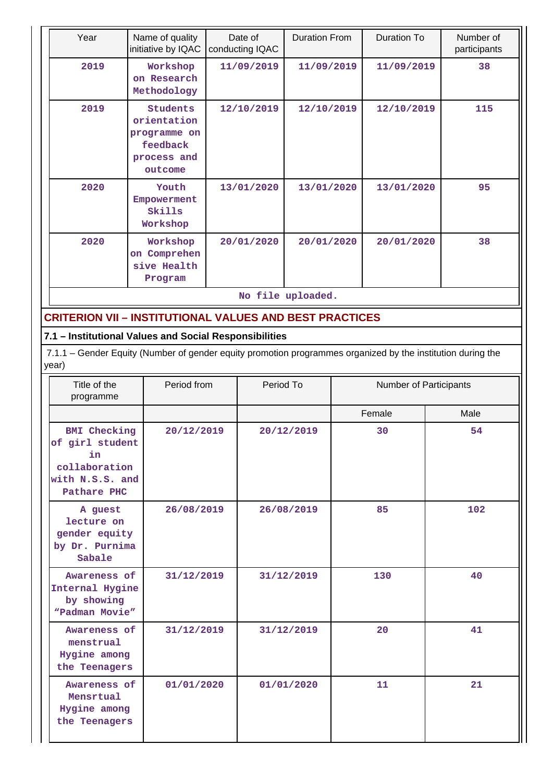| Year              | Name of quality<br>initiative by IQAC                                         | Date of<br>conducting IQAC |            | Duration To | Number of<br>participants |  |  |  |  |
|-------------------|-------------------------------------------------------------------------------|----------------------------|------------|-------------|---------------------------|--|--|--|--|
| 2019              | Workshop<br>on Research<br>Methodology                                        | 11/09/2019                 | 11/09/2019 | 11/09/2019  | 38                        |  |  |  |  |
| 2019              | Students<br>orientation<br>programme on<br>feedback<br>process and<br>outcome | 12/10/2019                 | 12/10/2019 | 12/10/2019  | 115                       |  |  |  |  |
| 2020              | Youth<br>Empowerment<br>Skills<br>Workshop                                    | 13/01/2020                 | 13/01/2020 | 13/01/2020  | 95                        |  |  |  |  |
| 2020              | Workshop<br>Comprehen<br><b>on</b><br>sive Health<br>Program                  | 20/01/2020                 | 20/01/2020 | 20/01/2020  | 38                        |  |  |  |  |
| No file uploaded. |                                                                               |                            |            |             |                           |  |  |  |  |

# **CRITERION VII – INSTITUTIONAL VALUES AND BEST PRACTICES**

# **7.1 – Institutional Values and Social Responsibilities**

 7.1.1 – Gender Equity (Number of gender equity promotion programmes organized by the institution during the year)

| Title of the<br>programme                                                                       | Period from | Period To  | Number of Participants |      |  |
|-------------------------------------------------------------------------------------------------|-------------|------------|------------------------|------|--|
|                                                                                                 |             |            | Female                 | Male |  |
| <b>BMI</b> Checking<br>of girl student<br>in<br>collaboration<br>with N.S.S. and<br>Pathare PHC | 20/12/2019  | 20/12/2019 | 30                     | 54   |  |
| A guest<br>lecture on<br>gender equity<br>by Dr. Purnima<br>Sabale                              | 26/08/2019  | 26/08/2019 | 85                     | 102  |  |
| Awareness of<br>Internal Hygine<br>by showing<br>"Padman Movie"                                 | 31/12/2019  | 31/12/2019 | 130                    | 40   |  |
| Awareness of<br>menstrual<br>Hygine among<br>the Teenagers                                      | 31/12/2019  | 31/12/2019 | 20                     | 41   |  |
| Awareness of<br>Mensrtual<br>Hygine among<br>the Teenagers                                      | 01/01/2020  | 01/01/2020 | 11                     | 21   |  |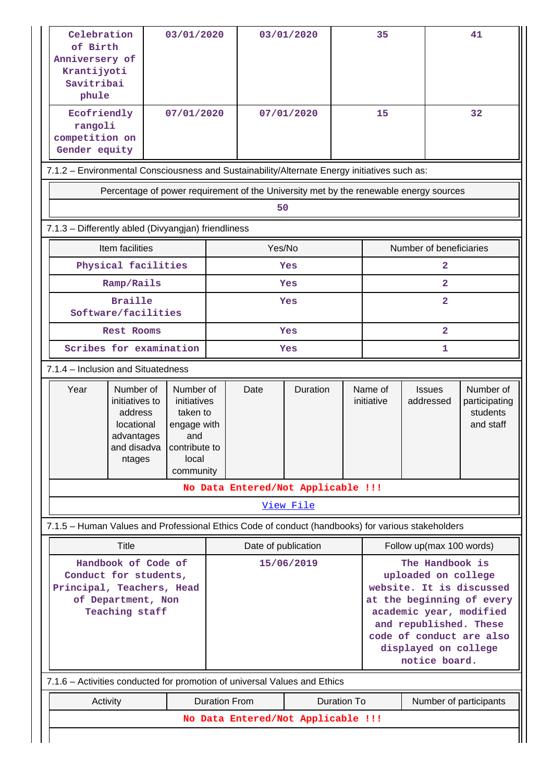| Celebration<br>of Birth<br>Anniversery of<br>Krantijyoti<br>Savitribai<br>phule                                   |                                                                                                                                                                                                  | 03/01/2020 |                      |                     | 03/01/2020                         |                                                     | 35                                                                                                                                                                                                                        |                                                                                       | 41                                                  |
|-------------------------------------------------------------------------------------------------------------------|--------------------------------------------------------------------------------------------------------------------------------------------------------------------------------------------------|------------|----------------------|---------------------|------------------------------------|-----------------------------------------------------|---------------------------------------------------------------------------------------------------------------------------------------------------------------------------------------------------------------------------|---------------------------------------------------------------------------------------|-----------------------------------------------------|
| Ecofriendly<br>rangoli<br>competition on<br>Gender equity                                                         |                                                                                                                                                                                                  | 07/01/2020 |                      |                     | 15<br>07/01/2020                   |                                                     |                                                                                                                                                                                                                           |                                                                                       | 32                                                  |
| 7.1.2 - Environmental Consciousness and Sustainability/Alternate Energy initiatives such as:                      |                                                                                                                                                                                                  |            |                      |                     |                                    |                                                     |                                                                                                                                                                                                                           |                                                                                       |                                                     |
|                                                                                                                   |                                                                                                                                                                                                  |            |                      |                     |                                    |                                                     |                                                                                                                                                                                                                           | Percentage of power requirement of the University met by the renewable energy sources |                                                     |
|                                                                                                                   |                                                                                                                                                                                                  |            |                      | 50                  |                                    |                                                     |                                                                                                                                                                                                                           |                                                                                       |                                                     |
| 7.1.3 - Differently abled (Divyangjan) friendliness                                                               |                                                                                                                                                                                                  |            |                      |                     |                                    |                                                     |                                                                                                                                                                                                                           |                                                                                       |                                                     |
|                                                                                                                   | Item facilities                                                                                                                                                                                  |            |                      | Yes/No              |                                    |                                                     |                                                                                                                                                                                                                           | Number of beneficiaries                                                               |                                                     |
|                                                                                                                   | Physical facilities                                                                                                                                                                              |            |                      |                     | Yes                                |                                                     |                                                                                                                                                                                                                           | 2                                                                                     |                                                     |
|                                                                                                                   | Ramp/Rails                                                                                                                                                                                       |            |                      |                     | Yes                                |                                                     |                                                                                                                                                                                                                           | $\overline{2}$                                                                        |                                                     |
|                                                                                                                   | <b>Braille</b><br>Software/facilities                                                                                                                                                            |            |                      |                     | Yes                                |                                                     |                                                                                                                                                                                                                           | $\mathbf{2}$                                                                          |                                                     |
|                                                                                                                   | <b>Rest Rooms</b>                                                                                                                                                                                |            |                      | Yes                 |                                    |                                                     | $\overline{2}$                                                                                                                                                                                                            |                                                                                       |                                                     |
|                                                                                                                   | Scribes for examination                                                                                                                                                                          |            | Yes                  |                     |                                    | 1                                                   |                                                                                                                                                                                                                           |                                                                                       |                                                     |
|                                                                                                                   | 7.1.4 - Inclusion and Situatedness                                                                                                                                                               |            |                      |                     |                                    |                                                     |                                                                                                                                                                                                                           |                                                                                       |                                                     |
| Year                                                                                                              | Number of<br>Number of<br>initiatives to<br>initiatives<br>address<br>taken to<br>locational<br>engage with<br>advantages<br>and<br>and disadva<br>contribute to<br>local<br>ntages<br>community |            |                      | Date                | Duration                           | Name of<br><b>Issues</b><br>initiative<br>addressed |                                                                                                                                                                                                                           |                                                                                       | Number of<br>participating<br>students<br>and staff |
|                                                                                                                   |                                                                                                                                                                                                  |            |                      |                     | No Data Entered/Not Applicable !!! |                                                     |                                                                                                                                                                                                                           |                                                                                       |                                                     |
|                                                                                                                   |                                                                                                                                                                                                  |            |                      |                     | View File                          |                                                     |                                                                                                                                                                                                                           |                                                                                       |                                                     |
| 7.1.5 - Human Values and Professional Ethics Code of conduct (handbooks) for various stakeholders                 |                                                                                                                                                                                                  |            |                      |                     |                                    |                                                     |                                                                                                                                                                                                                           |                                                                                       |                                                     |
|                                                                                                                   | Title                                                                                                                                                                                            |            |                      | Date of publication |                                    |                                                     | Follow up(max 100 words)                                                                                                                                                                                                  |                                                                                       |                                                     |
| Handbook of Code of<br>Conduct for students,<br>Principal, Teachers, Head<br>of Department, Non<br>Teaching staff |                                                                                                                                                                                                  |            |                      | 15/06/2019          |                                    |                                                     | The Handbook is<br>uploaded on college<br>website. It is discussed<br>at the beginning of every<br>academic year, modified<br>and republished. These<br>code of conduct are also<br>displayed on college<br>notice board. |                                                                                       |                                                     |
| 7.1.6 - Activities conducted for promotion of universal Values and Ethics                                         |                                                                                                                                                                                                  |            |                      |                     |                                    |                                                     |                                                                                                                                                                                                                           |                                                                                       |                                                     |
| Activity                                                                                                          |                                                                                                                                                                                                  |            | <b>Duration From</b> |                     |                                    | <b>Duration To</b>                                  | Number of participants                                                                                                                                                                                                    |                                                                                       |                                                     |
|                                                                                                                   |                                                                                                                                                                                                  |            |                      |                     | No Data Entered/Not Applicable !!! |                                                     |                                                                                                                                                                                                                           |                                                                                       |                                                     |
|                                                                                                                   |                                                                                                                                                                                                  |            |                      |                     |                                    |                                                     |                                                                                                                                                                                                                           |                                                                                       |                                                     |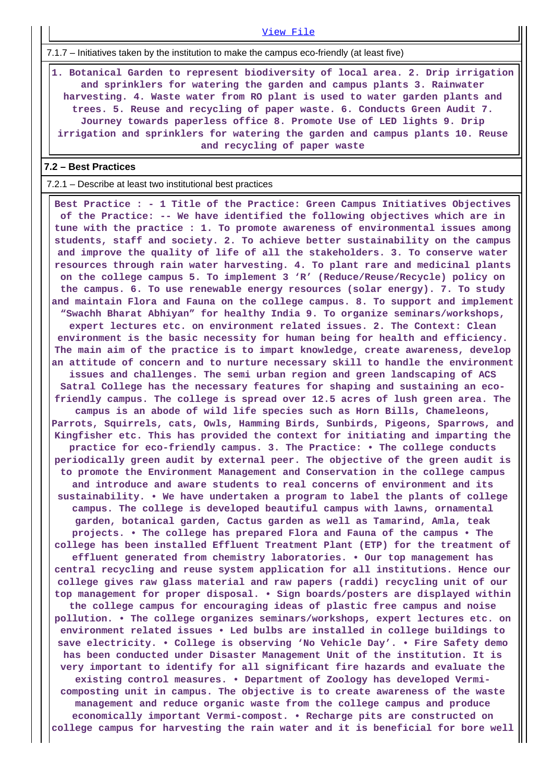7.1.7 – Initiatives taken by the institution to make the campus eco-friendly (at least five)

 **1. Botanical Garden to represent biodiversity of local area. 2. Drip irrigation and sprinklers for watering the garden and campus plants 3. Rainwater harvesting. 4. Waste water from RO plant is used to water garden plants and trees. 5. Reuse and recycling of paper waste. 6. Conducts Green Audit 7. Journey towards paperless office 8. Promote Use of LED lights 9. Drip irrigation and sprinklers for watering the garden and campus plants 10. Reuse and recycling of paper waste**

[View File](https://assessmentonline.naac.gov.in/public/Postacc/promotion_activities/7163_promotion_activities_1611824141.xlsx)

### **7.2 – Best Practices**

7.2.1 – Describe at least two institutional best practices

 **Best Practice : - 1 Title of the Practice: Green Campus Initiatives Objectives of the Practice: -- We have identified the following objectives which are in tune with the practice : 1. To promote awareness of environmental issues among students, staff and society. 2. To achieve better sustainability on the campus and improve the quality of life of all the stakeholders. 3. To conserve water resources through rain water harvesting. 4. To plant rare and medicinal plants on the college campus 5. To implement 3 'R' (Reduce/Reuse/Recycle) policy on the campus. 6. To use renewable energy resources (solar energy). 7. To study and maintain Flora and Fauna on the college campus. 8. To support and implement "Swachh Bharat Abhiyan" for healthy India 9. To organize seminars/workshops, expert lectures etc. on environment related issues. 2. The Context: Clean environment is the basic necessity for human being for health and efficiency. The main aim of the practice is to impart knowledge, create awareness, develop an attitude of concern and to nurture necessary skill to handle the environment issues and challenges. The semi urban region and green landscaping of ACS Satral College has the necessary features for shaping and sustaining an ecofriendly campus. The college is spread over 12.5 acres of lush green area. The campus is an abode of wild life species such as Horn Bills, Chameleons, Parrots, Squirrels, cats, Owls, Hamming Birds, Sunbirds, Pigeons, Sparrows, and Kingfisher etc. This has provided the context for initiating and imparting the practice for eco-friendly campus. 3. The Practice: • The college conducts periodically green audit by external peer. The objective of the green audit is to promote the Environment Management and Conservation in the college campus and introduce and aware students to real concerns of environment and its sustainability. • We have undertaken a program to label the plants of college campus. The college is developed beautiful campus with lawns, ornamental garden, botanical garden, Cactus garden as well as Tamarind, Amla, teak projects. • The college has prepared Flora and Fauna of the campus • The college has been installed Effluent Treatment Plant (ETP) for the treatment of effluent generated from chemistry laboratories. • Our top management has central recycling and reuse system application for all institutions. Hence our college gives raw glass material and raw papers (raddi) recycling unit of our top management for proper disposal. • Sign boards/posters are displayed within the college campus for encouraging ideas of plastic free campus and noise pollution. • The college organizes seminars/workshops, expert lectures etc. on environment related issues • Led bulbs are installed in college buildings to save electricity. • College is observing 'No Vehicle Day'. • Fire Safety demo has been conducted under Disaster Management Unit of the institution. It is very important to identify for all significant fire hazards and evaluate the existing control measures. • Department of Zoology has developed Vermicomposting unit in campus. The objective is to create awareness of the waste management and reduce organic waste from the college campus and produce economically important Vermi-compost. • Recharge pits are constructed on college campus for harvesting the rain water and it is beneficial for bore well**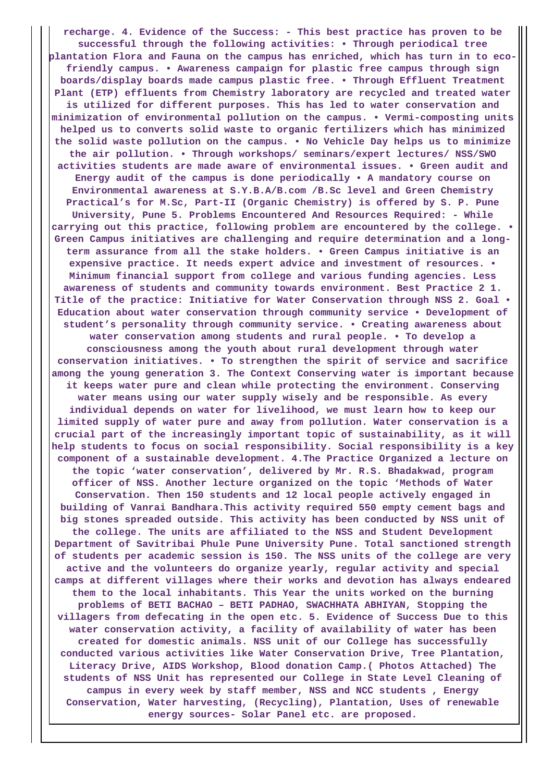**recharge. 4. Evidence of the Success: - This best practice has proven to be successful through the following activities: • Through periodical tree plantation Flora and Fauna on the campus has enriched, which has turn in to ecofriendly campus. • Awareness campaign for plastic free campus through sign boards/display boards made campus plastic free. • Through Effluent Treatment Plant (ETP) effluents from Chemistry laboratory are recycled and treated water is utilized for different purposes. This has led to water conservation and minimization of environmental pollution on the campus. • Vermi-composting units helped us to converts solid waste to organic fertilizers which has minimized the solid waste pollution on the campus. • No Vehicle Day helps us to minimize the air pollution. • Through workshops/ seminars/expert lectures/ NSS/SWO activities students are made aware of environmental issues. • Green audit and Energy audit of the campus is done periodically • A mandatory course on Environmental awareness at S.Y.B.A/B.com /B.Sc level and Green Chemistry Practical's for M.Sc, Part-II (Organic Chemistry) is offered by S. P. Pune University, Pune 5. Problems Encountered And Resources Required: - While carrying out this practice, following problem are encountered by the college. • Green Campus initiatives are challenging and require determination and a longterm assurance from all the stake holders. • Green Campus initiative is an expensive practice. It needs expert advice and investment of resources. • Minimum financial support from college and various funding agencies. Less awareness of students and community towards environment. Best Practice 2 1. Title of the practice: Initiative for Water Conservation through NSS 2. Goal • Education about water conservation through community service • Development of student's personality through community service. • Creating awareness about water conservation among students and rural people. • To develop a consciousness among the youth about rural development through water conservation initiatives. • To strengthen the spirit of service and sacrifice among the young generation 3. The Context Conserving water is important because it keeps water pure and clean while protecting the environment. Conserving water means using our water supply wisely and be responsible. As every individual depends on water for livelihood, we must learn how to keep our limited supply of water pure and away from pollution. Water conservation is a crucial part of the increasingly important topic of sustainability, as it will help students to focus on social responsibility. Social responsibility is a key component of a sustainable development. 4.The Practice Organized a lecture on the topic 'water conservation', delivered by Mr. R.S. Bhadakwad, program officer of NSS. Another lecture organized on the topic 'Methods of Water Conservation. Then 150 students and 12 local people actively engaged in building of Vanrai Bandhara.This activity required 550 empty cement bags and big stones spreaded outside. This activity has been conducted by NSS unit of the college. The units are affiliated to the NSS and Student Development Department of Savitribai Phule Pune University Pune. Total sanctioned strength of students per academic session is 150. The NSS units of the college are very active and the volunteers do organize yearly, regular activity and special camps at different villages where their works and devotion has always endeared them to the local inhabitants. This Year the units worked on the burning problems of BETI BACHAO – BETI PADHAO, SWACHHATA ABHIYAN, Stopping the villagers from defecating in the open etc. 5. Evidence of Success Due to this water conservation activity, a facility of availability of water has been created for domestic animals. NSS unit of our College has successfully conducted various activities like Water Conservation Drive, Tree Plantation, Literacy Drive, AIDS Workshop, Blood donation Camp.( Photos Attached) The students of NSS Unit has represented our College in State Level Cleaning of campus in every week by staff member, NSS and NCC students , Energy Conservation, Water harvesting, (Recycling), Plantation, Uses of renewable energy sources- Solar Panel etc. are proposed.**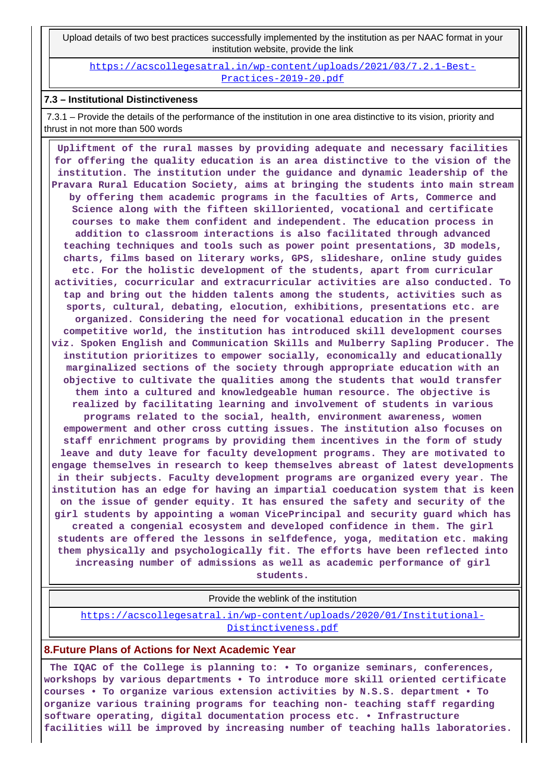Upload details of two best practices successfully implemented by the institution as per NAAC format in your institution website, provide the link

[https://acscollegesatral.in/wp-content/uploads/2021/03/7.2.1-Best-](https://acscollegesatral.in/wp-content/uploads/2021/03/7.2.1-Best-Practices-2019-20.pdf)[Practices-2019-20.pdf](https://acscollegesatral.in/wp-content/uploads/2021/03/7.2.1-Best-Practices-2019-20.pdf)

#### **7.3 – Institutional Distinctiveness**

 7.3.1 – Provide the details of the performance of the institution in one area distinctive to its vision, priority and thrust in not more than 500 words

 **Upliftment of the rural masses by providing adequate and necessary facilities for offering the quality education is an area distinctive to the vision of the institution. The institution under the guidance and dynamic leadership of the Pravara Rural Education Society, aims at bringing the students into main stream by offering them academic programs in the faculties of Arts, Commerce and Science along with the fifteen skilloriented, vocational and certificate courses to make them confident and independent. The education process in addition to classroom interactions is also facilitated through advanced teaching techniques and tools such as power point presentations, 3D models, charts, films based on literary works, GPS, slideshare, online study guides etc. For the holistic development of the students, apart from curricular activities, cocurricular and extracurricular activities are also conducted. To tap and bring out the hidden talents among the students, activities such as sports, cultural, debating, elocution, exhibitions, presentations etc. are organized. Considering the need for vocational education in the present competitive world, the institution has introduced skill development courses viz. Spoken English and Communication Skills and Mulberry Sapling Producer. The institution prioritizes to empower socially, economically and educationally marginalized sections of the society through appropriate education with an objective to cultivate the qualities among the students that would transfer them into a cultured and knowledgeable human resource. The objective is realized by facilitating learning and involvement of students in various programs related to the social, health, environment awareness, women empowerment and other cross cutting issues. The institution also focuses on staff enrichment programs by providing them incentives in the form of study leave and duty leave for faculty development programs. They are motivated to engage themselves in research to keep themselves abreast of latest developments in their subjects. Faculty development programs are organized every year. The institution has an edge for having an impartial coeducation system that is keen on the issue of gender equity. It has ensured the safety and security of the girl students by appointing a woman VicePrincipal and security guard which has created a congenial ecosystem and developed confidence in them. The girl students are offered the lessons in selfdefence, yoga, meditation etc. making them physically and psychologically fit. The efforts have been reflected into increasing number of admissions as well as academic performance of girl**

**students.**

Provide the weblink of the institution

[https://acscollegesatral.in/wp-content/uploads/2020/01/Institutional-](https://acscollegesatral.in/wp-content/uploads/2020/01/Institutional-Distinctiveness.pdf)[Distinctiveness.pdf](https://acscollegesatral.in/wp-content/uploads/2020/01/Institutional-Distinctiveness.pdf)

### **8.Future Plans of Actions for Next Academic Year**

 **The IQAC of the College is planning to: • To organize seminars, conferences, workshops by various departments • To introduce more skill oriented certificate courses • To organize various extension activities by N.S.S. department • To organize various training programs for teaching non- teaching staff regarding software operating, digital documentation process etc. • Infrastructure facilities will be improved by increasing number of teaching halls laboratories.**